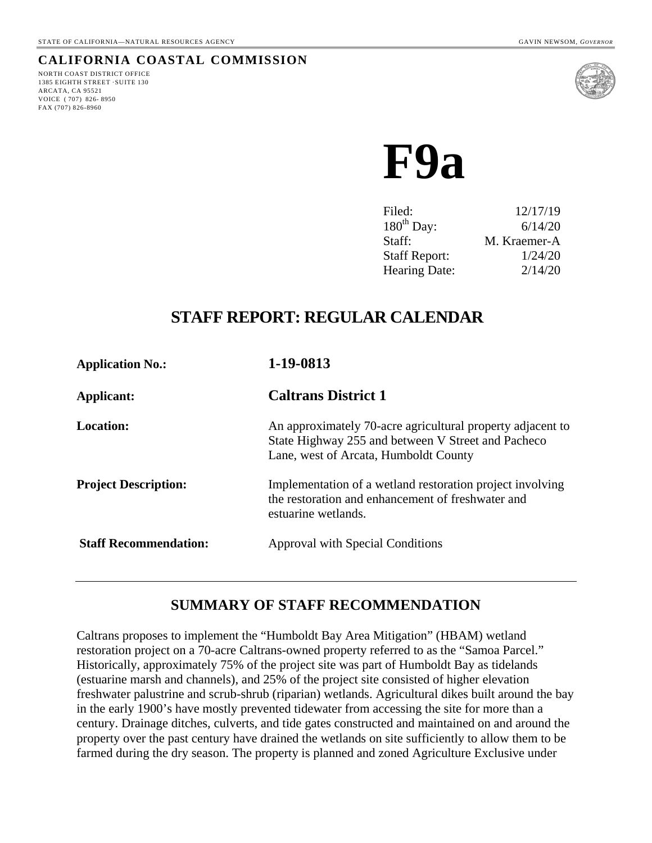# **CALIFORNIA COASTAL COMMISSION**

NORTH COAST DISTRICT OFFICE 1385 EIGHTH STREET ·SUITE 130 ARCATA, CA 95521 VOICE ( 707) 826- 8950 FAX (707) 826-8960



**F9a** 

| Filed:               | 12/17/19     |
|----------------------|--------------|
| $180^{th}$ Day:      | 6/14/20      |
| Staff:               | M. Kraemer-A |
| <b>Staff Report:</b> | 1/24/20      |
| <b>Hearing Date:</b> | 2/14/20      |

# **STAFF REPORT: REGULAR CALENDAR**

| <b>Application No.:</b>      | 1-19-0813                                                                                                                                                 |
|------------------------------|-----------------------------------------------------------------------------------------------------------------------------------------------------------|
| Applicant:                   | <b>Caltrans District 1</b>                                                                                                                                |
| Location:                    | An approximately 70-acre agricultural property adjacent to<br>State Highway 255 and between V Street and Pacheco<br>Lane, west of Arcata, Humboldt County |
| <b>Project Description:</b>  | Implementation of a wetland restoration project involving<br>the restoration and enhancement of freshwater and<br>estuarine wetlands.                     |
| <b>Staff Recommendation:</b> | Approval with Special Conditions                                                                                                                          |

# **SUMMARY OF STAFF RECOMMENDATION**

Caltrans proposes to implement the "Humboldt Bay Area Mitigation" (HBAM) wetland restoration project on a 70-acre Caltrans-owned property referred to as the "Samoa Parcel." Historically, approximately 75% of the project site was part of Humboldt Bay as tidelands (estuarine marsh and channels), and 25% of the project site consisted of higher elevation freshwater palustrine and scrub-shrub (riparian) wetlands. Agricultural dikes built around the bay in the early 1900's have mostly prevented tidewater from accessing the site for more than a century. Drainage ditches, culverts, and tide gates constructed and maintained on and around the property over the past century have drained the wetlands on site sufficiently to allow them to be farmed during the dry season. The property is planned and zoned Agriculture Exclusive under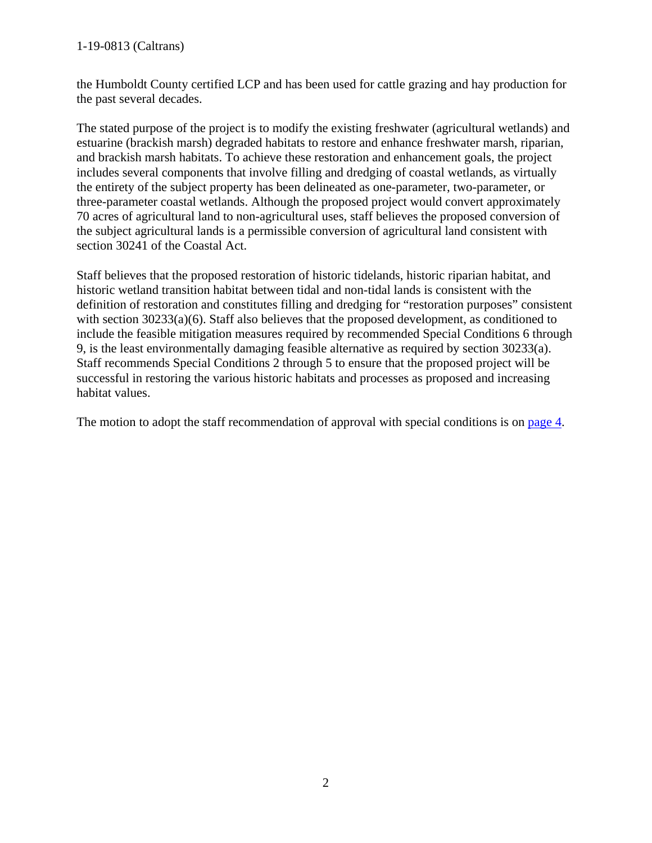#### 1-19-0813 (Caltrans)

the Humboldt County certified LCP and has been used for cattle grazing and hay production for the past several decades.

The stated purpose of the project is to modify the existing freshwater (agricultural wetlands) and estuarine (brackish marsh) degraded habitats to restore and enhance freshwater marsh, riparian, and brackish marsh habitats. To achieve these restoration and enhancement goals, the project includes several components that involve filling and dredging of coastal wetlands, as virtually the entirety of the subject property has been delineated as one-parameter, two-parameter, or three-parameter coastal wetlands. Although the proposed project would convert approximately 70 acres of agricultural land to non-agricultural uses, staff believes the proposed conversion of the subject agricultural lands is a permissible conversion of agricultural land consistent with section 30241 of the Coastal Act.

Staff believes that the proposed restoration of historic tidelands, historic riparian habitat, and historic wetland transition habitat between tidal and non-tidal lands is consistent with the definition of restoration and constitutes filling and dredging for "restoration purposes" consistent with section 30233(a)(6). Staff also believes that the proposed development, as conditioned to include the feasible mitigation measures required by recommended Special Conditions 6 through 9, is the least environmentally damaging feasible alternative as required by section 30233(a). Staff recommends Special Conditions 2 through 5 to ensure that the proposed project will be successful in restoring the various historic habitats and processes as proposed and increasing habitat values.

The motion to adopt the staff recommendation of approval with special conditions is on [page 4.](#page-3-0)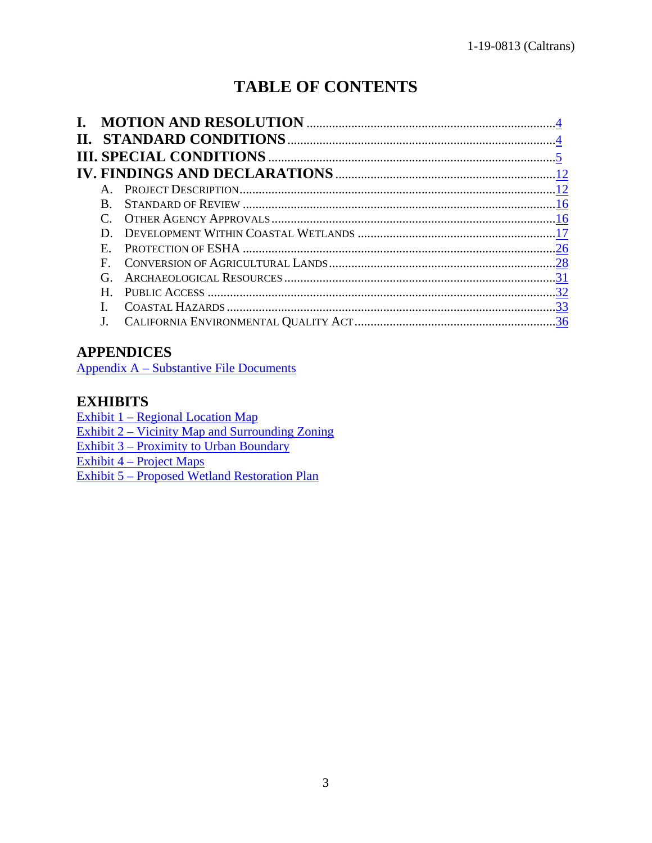# **TABLE OF CONTENTS**

| Н. |                |  |
|----|----------------|--|
|    |                |  |
|    |                |  |
|    | $\mathbf{A}$ . |  |
|    | <b>B.</b>      |  |
|    |                |  |
|    | D.             |  |
|    | E.             |  |
|    | $\mathbf{F}$   |  |
|    | G.             |  |
|    | H.             |  |
|    |                |  |
|    |                |  |

# **APPENDICES**

[Appendix A – Substantive File Documents](#page-36-0)

# **EXHIBITS**

[Exhibit 1 – Regional Location Map](https://documents.coastal.ca.gov/reports/2020/2/F9a/F9a-2-2020-exhibits.pdf) [Exhibit 2 – Vicinity Map and Surrounding Zoning](https://documents.coastal.ca.gov/reports/2020/2/F9a/F9a-2-2020-exhibits.pdf)  [Exhibit 3 – Proximity to Urban Boundary](https://documents.coastal.ca.gov/reports/2020/2/F9a/F9a-2-2020-exhibits.pdf)  [Exhibit 4 – Project Maps](https://documents.coastal.ca.gov/reports/2020/2/F9a/F9a-2-2020-exhibits.pdf) [Exhibit 5 – Proposed Wetland Restoration Plan](https://documents.coastal.ca.gov/reports/2020/2/F9a/F9a-2-2020-exhibits.pdf)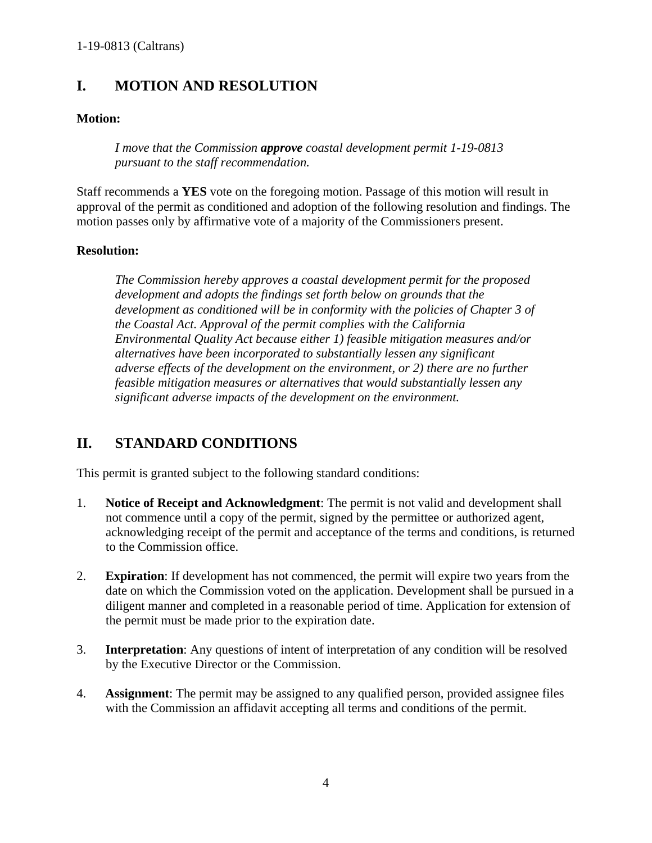# <span id="page-3-0"></span>**I. MOTION AND RESOLUTION**

### **Motion:**

*I move that the Commission approve coastal development permit 1-19-0813 pursuant to the staff recommendation.* 

Staff recommends a **YES** vote on the foregoing motion. Passage of this motion will result in approval of the permit as conditioned and adoption of the following resolution and findings. The motion passes only by affirmative vote of a majority of the Commissioners present.

#### **Resolution:**

*The Commission hereby approves a coastal development permit for the proposed development and adopts the findings set forth below on grounds that the development as conditioned will be in conformity with the policies of Chapter 3 of the Coastal Act. Approval of the permit complies with the California Environmental Quality Act because either 1) feasible mitigation measures and/or alternatives have been incorporated to substantially lessen any significant adverse effects of the development on the environment, or 2) there are no further feasible mitigation measures or alternatives that would substantially lessen any significant adverse impacts of the development on the environment.*

# <span id="page-3-1"></span>**II. STANDARD CONDITIONS**

This permit is granted subject to the following standard conditions:

- 1. **Notice of Receipt and Acknowledgment**: The permit is not valid and development shall not commence until a copy of the permit, signed by the permittee or authorized agent, acknowledging receipt of the permit and acceptance of the terms and conditions, is returned to the Commission office.
- 2. **Expiration**: If development has not commenced, the permit will expire two years from the date on which the Commission voted on the application. Development shall be pursued in a diligent manner and completed in a reasonable period of time. Application for extension of the permit must be made prior to the expiration date.
- 3. **Interpretation**: Any questions of intent of interpretation of any condition will be resolved by the Executive Director or the Commission.
- 4. **Assignment**: The permit may be assigned to any qualified person, provided assignee files with the Commission an affidavit accepting all terms and conditions of the permit.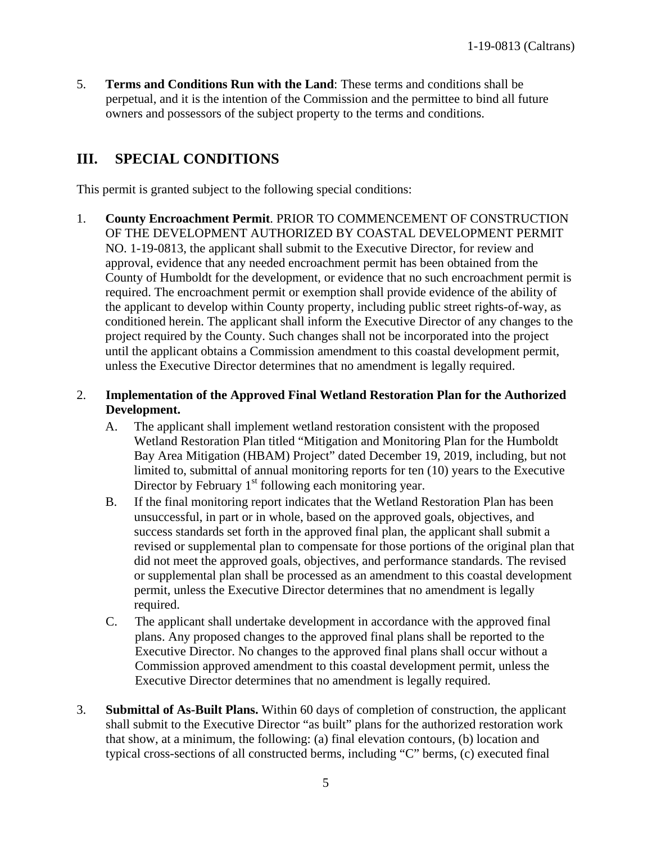5. **Terms and Conditions Run with the Land**: These terms and conditions shall be perpetual, and it is the intention of the Commission and the permittee to bind all future owners and possessors of the subject property to the terms and conditions.

# <span id="page-4-0"></span>**III. SPECIAL CONDITIONS**

This permit is granted subject to the following special conditions:

1. **County Encroachment Permit**. PRIOR TO COMMENCEMENT OF CONSTRUCTION OF THE DEVELOPMENT AUTHORIZED BY COASTAL DEVELOPMENT PERMIT NO. 1-19-0813, the applicant shall submit to the Executive Director, for review and approval, evidence that any needed encroachment permit has been obtained from the County of Humboldt for the development, or evidence that no such encroachment permit is required. The encroachment permit or exemption shall provide evidence of the ability of the applicant to develop within County property, including public street rights-of-way, as conditioned herein. The applicant shall inform the Executive Director of any changes to the project required by the County. Such changes shall not be incorporated into the project until the applicant obtains a Commission amendment to this coastal development permit, unless the Executive Director determines that no amendment is legally required.

### 2. **Implementation of the Approved Final Wetland Restoration Plan for the Authorized Development.**

- A. The applicant shall implement wetland restoration consistent with the proposed Wetland Restoration Plan titled "Mitigation and Monitoring Plan for the Humboldt Bay Area Mitigation (HBAM) Project" dated December 19, 2019, including, but not limited to, submittal of annual monitoring reports for ten (10) years to the Executive Director by February  $1<sup>st</sup>$  following each monitoring year.
- B. If the final monitoring report indicates that the Wetland Restoration Plan has been unsuccessful, in part or in whole, based on the approved goals, objectives, and success standards set forth in the approved final plan, the applicant shall submit a revised or supplemental plan to compensate for those portions of the original plan that did not meet the approved goals, objectives, and performance standards. The revised or supplemental plan shall be processed as an amendment to this coastal development permit, unless the Executive Director determines that no amendment is legally required.
- C. The applicant shall undertake development in accordance with the approved final plans. Any proposed changes to the approved final plans shall be reported to the Executive Director. No changes to the approved final plans shall occur without a Commission approved amendment to this coastal development permit, unless the Executive Director determines that no amendment is legally required.
- 3. **Submittal of As-Built Plans.** Within 60 days of completion of construction, the applicant shall submit to the Executive Director "as built" plans for the authorized restoration work that show, at a minimum, the following: (a) final elevation contours, (b) location and typical cross-sections of all constructed berms, including "C" berms, (c) executed final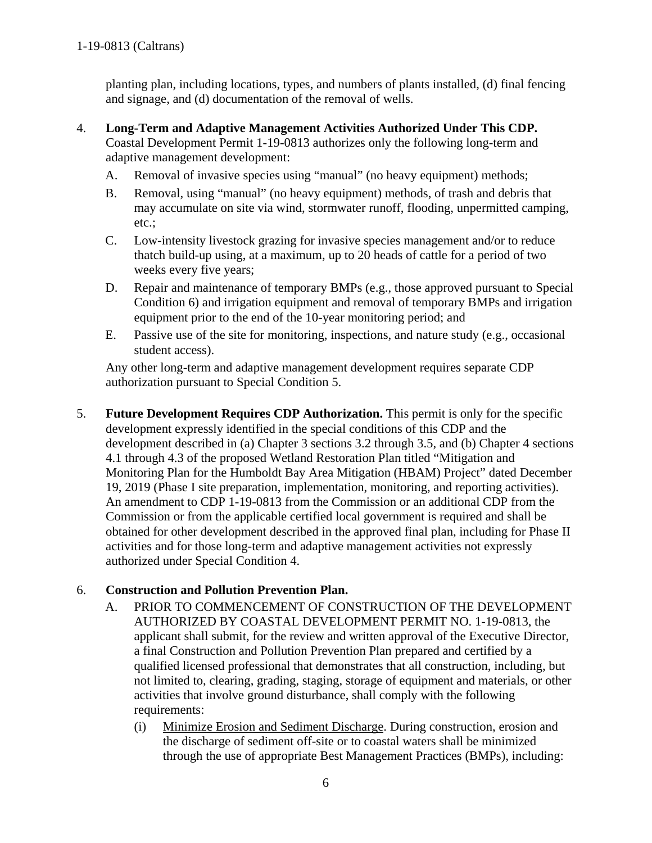planting plan, including locations, types, and numbers of plants installed, (d) final fencing and signage, and (d) documentation of the removal of wells.

- 4. **Long-Term and Adaptive Management Activities Authorized Under This CDP.**  Coastal Development Permit 1-19-0813 authorizes only the following long-term and adaptive management development:
	- A. Removal of invasive species using "manual" (no heavy equipment) methods;
	- B. Removal, using "manual" (no heavy equipment) methods, of trash and debris that may accumulate on site via wind, stormwater runoff, flooding, unpermitted camping, etc.;
	- C. Low-intensity livestock grazing for invasive species management and/or to reduce thatch build-up using, at a maximum, up to 20 heads of cattle for a period of two weeks every five years;
	- D. Repair and maintenance of temporary BMPs (e.g., those approved pursuant to Special Condition 6) and irrigation equipment and removal of temporary BMPs and irrigation equipment prior to the end of the 10-year monitoring period; and
	- E. Passive use of the site for monitoring, inspections, and nature study (e.g., occasional student access).

Any other long-term and adaptive management development requires separate CDP authorization pursuant to Special Condition 5.

5. **Future Development Requires CDP Authorization.** This permit is only for the specific development expressly identified in the special conditions of this CDP and the development described in (a) Chapter 3 sections 3.2 through 3.5, and (b) Chapter 4 sections 4.1 through 4.3 of the proposed Wetland Restoration Plan titled "Mitigation and Monitoring Plan for the Humboldt Bay Area Mitigation (HBAM) Project" dated December 19, 2019 (Phase I site preparation, implementation, monitoring, and reporting activities). An amendment to CDP 1-19-0813 from the Commission or an additional CDP from the Commission or from the applicable certified local government is required and shall be obtained for other development described in the approved final plan, including for Phase II activities and for those long-term and adaptive management activities not expressly authorized under Special Condition 4.

## 6. **Construction and Pollution Prevention Plan.**

- A. PRIOR TO COMMENCEMENT OF CONSTRUCTION OF THE DEVELOPMENT AUTHORIZED BY COASTAL DEVELOPMENT PERMIT NO. 1-19-0813, the applicant shall submit, for the review and written approval of the Executive Director, a final Construction and Pollution Prevention Plan prepared and certified by a qualified licensed professional that demonstrates that all construction, including, but not limited to, clearing, grading, staging, storage of equipment and materials, or other activities that involve ground disturbance, shall comply with the following requirements:
	- (i) Minimize Erosion and Sediment Discharge. During construction, erosion and the discharge of sediment off-site or to coastal waters shall be minimized through the use of appropriate Best Management Practices (BMPs), including: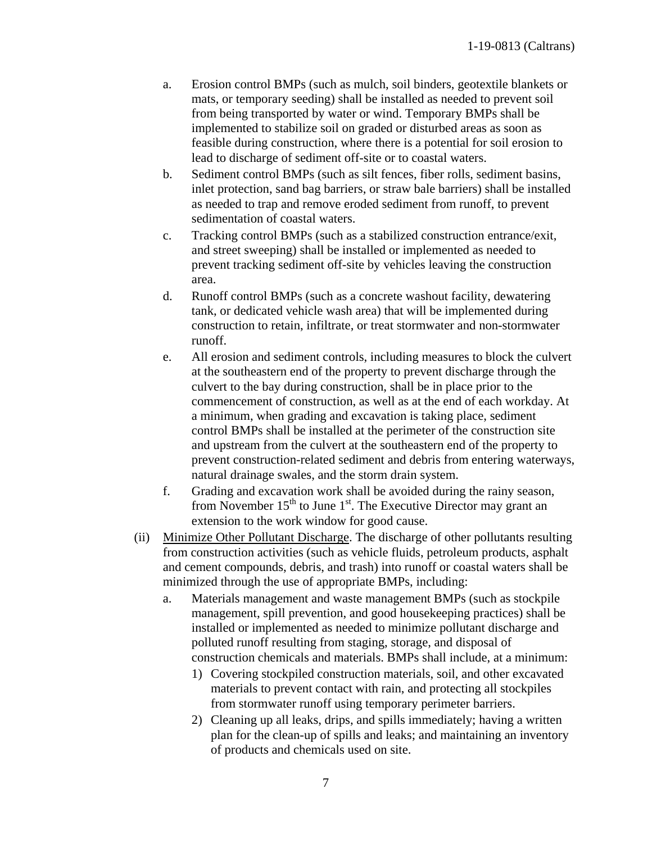- a. Erosion control BMPs (such as mulch, soil binders, geotextile blankets or mats, or temporary seeding) shall be installed as needed to prevent soil from being transported by water or wind. Temporary BMPs shall be implemented to stabilize soil on graded or disturbed areas as soon as feasible during construction, where there is a potential for soil erosion to lead to discharge of sediment off-site or to coastal waters.
- b. Sediment control BMPs (such as silt fences, fiber rolls, sediment basins, inlet protection, sand bag barriers, or straw bale barriers) shall be installed as needed to trap and remove eroded sediment from runoff, to prevent sedimentation of coastal waters.
- c. Tracking control BMPs (such as a stabilized construction entrance/exit, and street sweeping) shall be installed or implemented as needed to prevent tracking sediment off-site by vehicles leaving the construction area.
- d. Runoff control BMPs (such as a concrete washout facility, dewatering tank, or dedicated vehicle wash area) that will be implemented during construction to retain, infiltrate, or treat stormwater and non-stormwater runoff.
- e. All erosion and sediment controls, including measures to block the culvert at the southeastern end of the property to prevent discharge through the culvert to the bay during construction, shall be in place prior to the commencement of construction, as well as at the end of each workday. At a minimum, when grading and excavation is taking place, sediment control BMPs shall be installed at the perimeter of the construction site and upstream from the culvert at the southeastern end of the property to prevent construction-related sediment and debris from entering waterways, natural drainage swales, and the storm drain system.
- f. Grading and excavation work shall be avoided during the rainy season, from November  $15<sup>th</sup>$  to June  $1<sup>st</sup>$ . The Executive Director may grant an extension to the work window for good cause.
- (ii) Minimize Other Pollutant Discharge. The discharge of other pollutants resulting from construction activities (such as vehicle fluids, petroleum products, asphalt and cement compounds, debris, and trash) into runoff or coastal waters shall be minimized through the use of appropriate BMPs, including:
	- a. Materials management and waste management BMPs (such as stockpile management, spill prevention, and good housekeeping practices) shall be installed or implemented as needed to minimize pollutant discharge and polluted runoff resulting from staging, storage, and disposal of construction chemicals and materials. BMPs shall include, at a minimum:
		- 1) Covering stockpiled construction materials, soil, and other excavated materials to prevent contact with rain, and protecting all stockpiles from stormwater runoff using temporary perimeter barriers.
		- 2) Cleaning up all leaks, drips, and spills immediately; having a written plan for the clean-up of spills and leaks; and maintaining an inventory of products and chemicals used on site.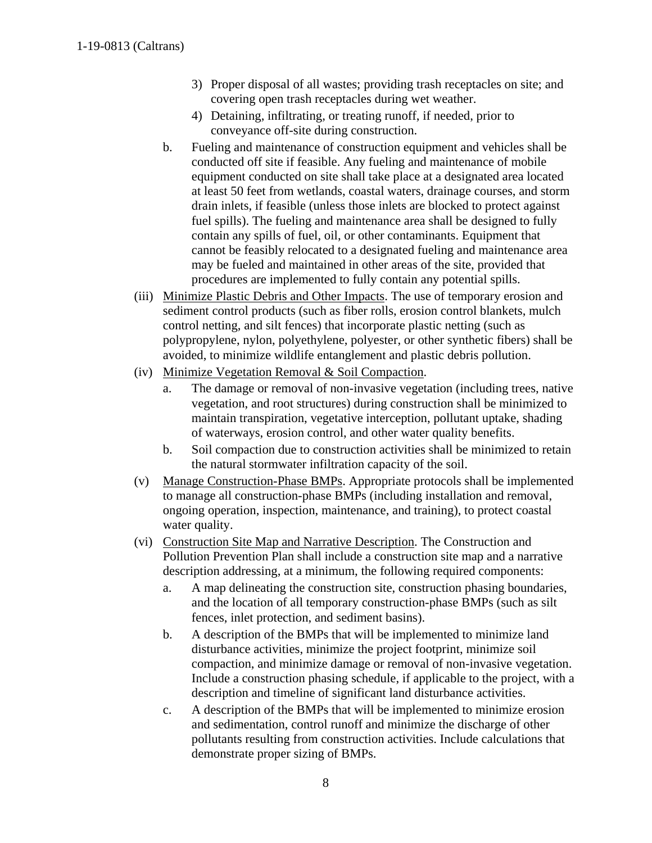- 3) Proper disposal of all wastes; providing trash receptacles on site; and covering open trash receptacles during wet weather.
- 4) Detaining, infiltrating, or treating runoff, if needed, prior to conveyance off-site during construction.
- b. Fueling and maintenance of construction equipment and vehicles shall be conducted off site if feasible. Any fueling and maintenance of mobile equipment conducted on site shall take place at a designated area located at least 50 feet from wetlands, coastal waters, drainage courses, and storm drain inlets, if feasible (unless those inlets are blocked to protect against fuel spills). The fueling and maintenance area shall be designed to fully contain any spills of fuel, oil, or other contaminants. Equipment that cannot be feasibly relocated to a designated fueling and maintenance area may be fueled and maintained in other areas of the site, provided that procedures are implemented to fully contain any potential spills.
- (iii) Minimize Plastic Debris and Other Impacts. The use of temporary erosion and sediment control products (such as fiber rolls, erosion control blankets, mulch control netting, and silt fences) that incorporate plastic netting (such as polypropylene, nylon, polyethylene, polyester, or other synthetic fibers) shall be avoided, to minimize wildlife entanglement and plastic debris pollution.
- (iv) Minimize Vegetation Removal & Soil Compaction.
	- a. The damage or removal of non-invasive vegetation (including trees, native vegetation, and root structures) during construction shall be minimized to maintain transpiration, vegetative interception, pollutant uptake, shading of waterways, erosion control, and other water quality benefits.
	- b. Soil compaction due to construction activities shall be minimized to retain the natural stormwater infiltration capacity of the soil.
- (v) Manage Construction-Phase BMPs. Appropriate protocols shall be implemented to manage all construction-phase BMPs (including installation and removal, ongoing operation, inspection, maintenance, and training), to protect coastal water quality.
- (vi) Construction Site Map and Narrative Description. The Construction and Pollution Prevention Plan shall include a construction site map and a narrative description addressing, at a minimum, the following required components:
	- a. A map delineating the construction site, construction phasing boundaries, and the location of all temporary construction-phase BMPs (such as silt fences, inlet protection, and sediment basins).
	- b. A description of the BMPs that will be implemented to minimize land disturbance activities, minimize the project footprint, minimize soil compaction, and minimize damage or removal of non-invasive vegetation. Include a construction phasing schedule, if applicable to the project, with a description and timeline of significant land disturbance activities.
	- c. A description of the BMPs that will be implemented to minimize erosion and sedimentation, control runoff and minimize the discharge of other pollutants resulting from construction activities. Include calculations that demonstrate proper sizing of BMPs.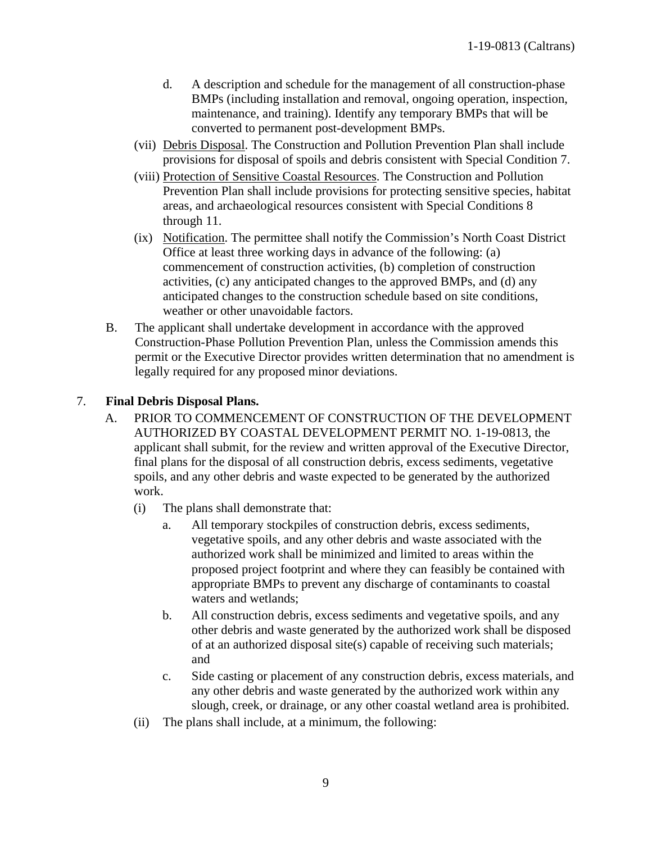- d. A description and schedule for the management of all construction-phase BMPs (including installation and removal, ongoing operation, inspection, maintenance, and training). Identify any temporary BMPs that will be converted to permanent post-development BMPs.
- (vii) Debris Disposal. The Construction and Pollution Prevention Plan shall include provisions for disposal of spoils and debris consistent with Special Condition 7.
- (viii) Protection of Sensitive Coastal Resources. The Construction and Pollution Prevention Plan shall include provisions for protecting sensitive species, habitat areas, and archaeological resources consistent with Special Conditions 8 through 11.
- (ix) Notification. The permittee shall notify the Commission's North Coast District Office at least three working days in advance of the following: (a) commencement of construction activities, (b) completion of construction activities, (c) any anticipated changes to the approved BMPs, and (d) any anticipated changes to the construction schedule based on site conditions, weather or other unavoidable factors.
- B. The applicant shall undertake development in accordance with the approved Construction-Phase Pollution Prevention Plan, unless the Commission amends this permit or the Executive Director provides written determination that no amendment is legally required for any proposed minor deviations.

#### 7. **Final Debris Disposal Plans.**

- A. PRIOR TO COMMENCEMENT OF CONSTRUCTION OF THE DEVELOPMENT AUTHORIZED BY COASTAL DEVELOPMENT PERMIT NO. 1-19-0813, the applicant shall submit, for the review and written approval of the Executive Director, final plans for the disposal of all construction debris, excess sediments, vegetative spoils, and any other debris and waste expected to be generated by the authorized work.
	- (i) The plans shall demonstrate that:
		- a. All temporary stockpiles of construction debris, excess sediments, vegetative spoils, and any other debris and waste associated with the authorized work shall be minimized and limited to areas within the proposed project footprint and where they can feasibly be contained with appropriate BMPs to prevent any discharge of contaminants to coastal waters and wetlands;
		- b. All construction debris, excess sediments and vegetative spoils, and any other debris and waste generated by the authorized work shall be disposed of at an authorized disposal site(s) capable of receiving such materials; and
		- c. Side casting or placement of any construction debris, excess materials, and any other debris and waste generated by the authorized work within any slough, creek, or drainage, or any other coastal wetland area is prohibited.
	- (ii) The plans shall include, at a minimum, the following: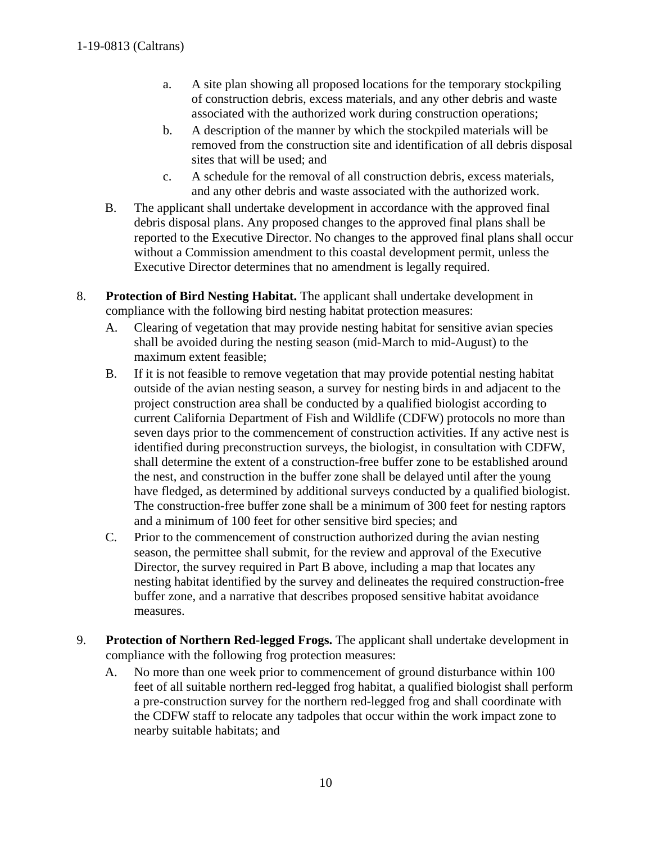- a. A site plan showing all proposed locations for the temporary stockpiling of construction debris, excess materials, and any other debris and waste associated with the authorized work during construction operations;
- b. A description of the manner by which the stockpiled materials will be removed from the construction site and identification of all debris disposal sites that will be used; and
- c. A schedule for the removal of all construction debris, excess materials, and any other debris and waste associated with the authorized work.
- B. The applicant shall undertake development in accordance with the approved final debris disposal plans. Any proposed changes to the approved final plans shall be reported to the Executive Director. No changes to the approved final plans shall occur without a Commission amendment to this coastal development permit, unless the Executive Director determines that no amendment is legally required.
- 8. **Protection of Bird Nesting Habitat.** The applicant shall undertake development in compliance with the following bird nesting habitat protection measures:
	- A. Clearing of vegetation that may provide nesting habitat for sensitive avian species shall be avoided during the nesting season (mid-March to mid-August) to the maximum extent feasible;
	- B. If it is not feasible to remove vegetation that may provide potential nesting habitat outside of the avian nesting season, a survey for nesting birds in and adjacent to the project construction area shall be conducted by a qualified biologist according to current California Department of Fish and Wildlife (CDFW) protocols no more than seven days prior to the commencement of construction activities. If any active nest is identified during preconstruction surveys, the biologist, in consultation with CDFW, shall determine the extent of a construction-free buffer zone to be established around the nest, and construction in the buffer zone shall be delayed until after the young have fledged, as determined by additional surveys conducted by a qualified biologist. The construction-free buffer zone shall be a minimum of 300 feet for nesting raptors and a minimum of 100 feet for other sensitive bird species; and
	- C. Prior to the commencement of construction authorized during the avian nesting season, the permittee shall submit, for the review and approval of the Executive Director, the survey required in Part B above, including a map that locates any nesting habitat identified by the survey and delineates the required construction-free buffer zone, and a narrative that describes proposed sensitive habitat avoidance measures.
- 9. **Protection of Northern Red-legged Frogs.** The applicant shall undertake development in compliance with the following frog protection measures:
	- A. No more than one week prior to commencement of ground disturbance within 100 feet of all suitable northern red-legged frog habitat, a qualified biologist shall perform a pre-construction survey for the northern red-legged frog and shall coordinate with the CDFW staff to relocate any tadpoles that occur within the work impact zone to nearby suitable habitats; and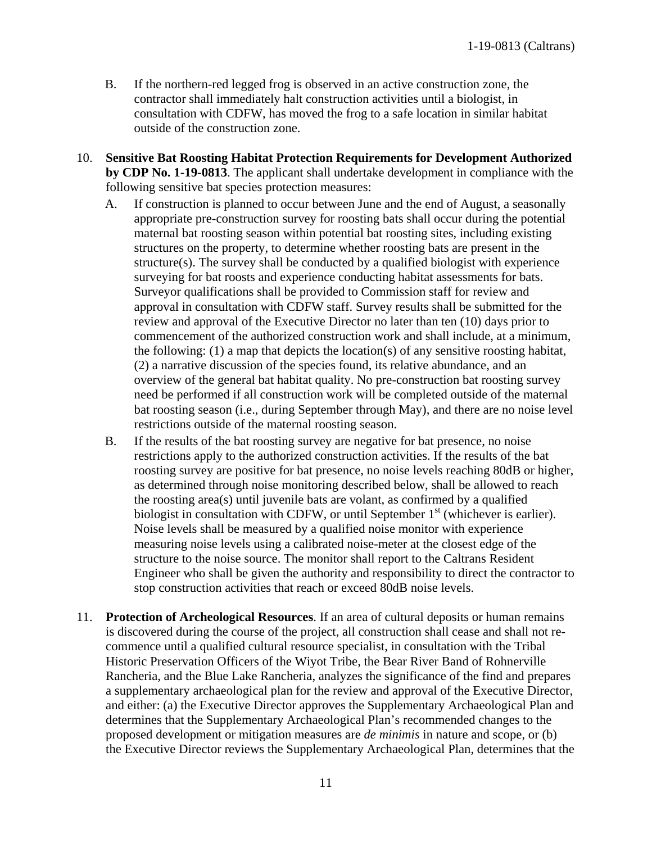- B. If the northern-red legged frog is observed in an active construction zone, the contractor shall immediately halt construction activities until a biologist, in consultation with CDFW, has moved the frog to a safe location in similar habitat outside of the construction zone.
- 10. **Sensitive Bat Roosting Habitat Protection Requirements for Development Authorized by CDP No. 1-19-0813**. The applicant shall undertake development in compliance with the following sensitive bat species protection measures:
	- A. If construction is planned to occur between June and the end of August, a seasonally appropriate pre-construction survey for roosting bats shall occur during the potential maternal bat roosting season within potential bat roosting sites, including existing structures on the property, to determine whether roosting bats are present in the structure(s). The survey shall be conducted by a qualified biologist with experience surveying for bat roosts and experience conducting habitat assessments for bats. Surveyor qualifications shall be provided to Commission staff for review and approval in consultation with CDFW staff. Survey results shall be submitted for the review and approval of the Executive Director no later than ten (10) days prior to commencement of the authorized construction work and shall include, at a minimum, the following: (1) a map that depicts the location(s) of any sensitive roosting habitat, (2) a narrative discussion of the species found, its relative abundance, and an overview of the general bat habitat quality. No pre-construction bat roosting survey need be performed if all construction work will be completed outside of the maternal bat roosting season (i.e., during September through May), and there are no noise level restrictions outside of the maternal roosting season.
	- B. If the results of the bat roosting survey are negative for bat presence, no noise restrictions apply to the authorized construction activities. If the results of the bat roosting survey are positive for bat presence, no noise levels reaching 80dB or higher, as determined through noise monitoring described below, shall be allowed to reach the roosting area(s) until juvenile bats are volant, as confirmed by a qualified biologist in consultation with CDFW, or until September  $1<sup>st</sup>$  (whichever is earlier). Noise levels shall be measured by a qualified noise monitor with experience measuring noise levels using a calibrated noise-meter at the closest edge of the structure to the noise source. The monitor shall report to the Caltrans Resident Engineer who shall be given the authority and responsibility to direct the contractor to stop construction activities that reach or exceed 80dB noise levels.
- 11. **Protection of Archeological Resources**. If an area of cultural deposits or human remains is discovered during the course of the project, all construction shall cease and shall not recommence until a qualified cultural resource specialist, in consultation with the Tribal Historic Preservation Officers of the Wiyot Tribe, the Bear River Band of Rohnerville Rancheria, and the Blue Lake Rancheria, analyzes the significance of the find and prepares a supplementary archaeological plan for the review and approval of the Executive Director, and either: (a) the Executive Director approves the Supplementary Archaeological Plan and determines that the Supplementary Archaeological Plan's recommended changes to the proposed development or mitigation measures are *de minimis* in nature and scope, or (b) the Executive Director reviews the Supplementary Archaeological Plan, determines that the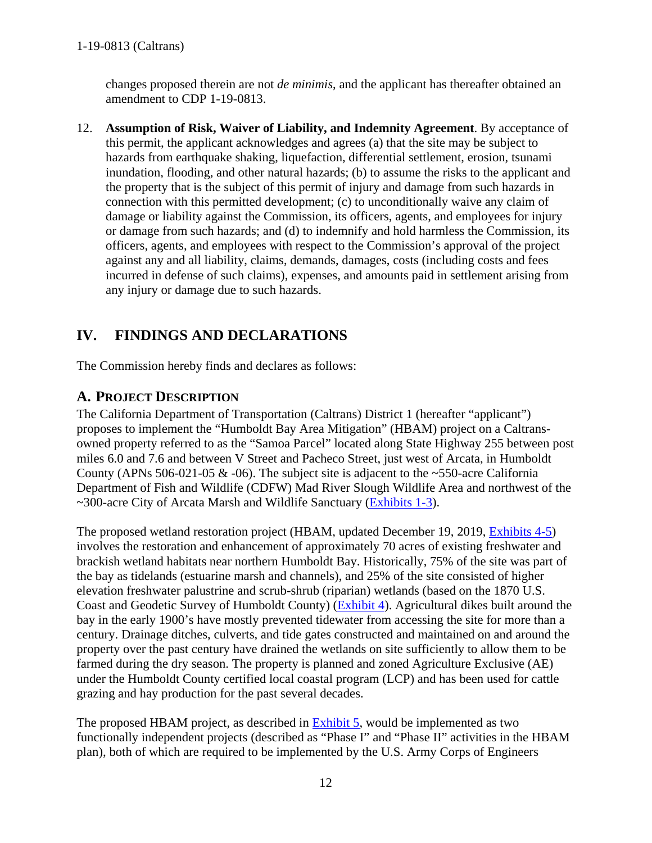changes proposed therein are not *de minimis*, and the applicant has thereafter obtained an amendment to CDP 1-19-0813.

12. **Assumption of Risk, Waiver of Liability, and Indemnity Agreement**. By acceptance of this permit, the applicant acknowledges and agrees (a) that the site may be subject to hazards from earthquake shaking, liquefaction, differential settlement, erosion, tsunami inundation, flooding, and other natural hazards; (b) to assume the risks to the applicant and the property that is the subject of this permit of injury and damage from such hazards in connection with this permitted development; (c) to unconditionally waive any claim of damage or liability against the Commission, its officers, agents, and employees for injury or damage from such hazards; and (d) to indemnify and hold harmless the Commission, its officers, agents, and employees with respect to the Commission's approval of the project against any and all liability, claims, demands, damages, costs (including costs and fees incurred in defense of such claims), expenses, and amounts paid in settlement arising from any injury or damage due to such hazards.

# <span id="page-11-0"></span>**IV. FINDINGS AND DECLARATIONS**

The Commission hereby finds and declares as follows:

# <span id="page-11-1"></span>**A. PROJECT DESCRIPTION**

The California Department of Transportation (Caltrans) District 1 (hereafter "applicant") proposes to implement the "Humboldt Bay Area Mitigation" (HBAM) project on a Caltransowned property referred to as the "Samoa Parcel" located along State Highway 255 between post miles 6.0 and 7.6 and between V Street and Pacheco Street, just west of Arcata, in Humboldt County (APNs 506-021-05  $\&$  -06). The subject site is adjacent to the ~550-acre California Department of Fish and Wildlife (CDFW) Mad River Slough Wildlife Area and northwest of the ~300-acre City of Arcata Marsh and Wildlife Sanctuary [\(Exhibits 1-3\)](https://documents.coastal.ca.gov/reports/2020/2/F9a/F9a-2-2020-exhibits.pdf).

The proposed wetland restoration project (HBAM, updated December 19, 2019, [Exhibits 4-5\)](https://documents.coastal.ca.gov/reports/2020/2/F9a/F9a-2-2020-exhibits.pdf) involves the restoration and enhancement of approximately 70 acres of existing freshwater and brackish wetland habitats near northern Humboldt Bay. Historically, 75% of the site was part of the bay as tidelands (estuarine marsh and channels), and 25% of the site consisted of higher elevation freshwater palustrine and scrub-shrub (riparian) wetlands (based on the 1870 U.S. Coast and Geodetic Survey of Humboldt County) [\(Exhibit 4\)](https://documents.coastal.ca.gov/reports/2020/2/F9a/F9a-2-2020-exhibits.pdf). Agricultural dikes built around the bay in the early 1900's have mostly prevented tidewater from accessing the site for more than a century. Drainage ditches, culverts, and tide gates constructed and maintained on and around the property over the past century have drained the wetlands on site sufficiently to allow them to be farmed during the dry season. The property is planned and zoned Agriculture Exclusive (AE) under the Humboldt County certified local coastal program (LCP) and has been used for cattle grazing and hay production for the past several decades.

The proposed HBAM project, as described in [Exhibit 5,](https://documents.coastal.ca.gov/reports/2020/2/F9a/F9a-2-2020-exhibits.pdf) would be implemented as two functionally independent projects (described as "Phase I" and "Phase II" activities in the HBAM plan), both of which are required to be implemented by the U.S. Army Corps of Engineers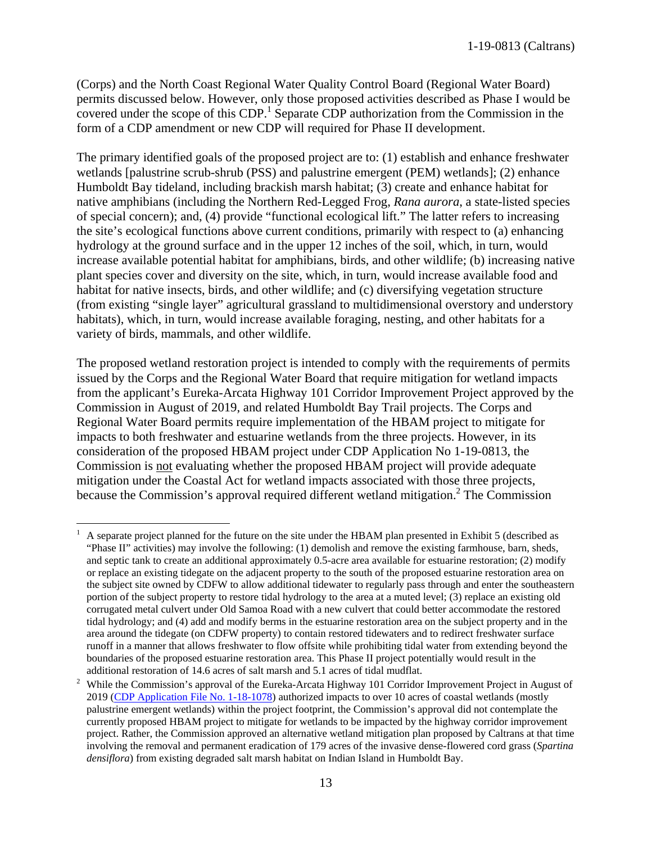(Corps) and the North Coast Regional Water Quality Control Board (Regional Water Board) permits discussed below. However, only those proposed activities described as Phase I would be covered under the scope of this  $CDP<sup>1</sup>$  Separate CDP authorization from the Commission in the form of a CDP amendment or new CDP will required for Phase II development.

The primary identified goals of the proposed project are to: (1) establish and enhance freshwater wetlands [palustrine scrub-shrub (PSS) and palustrine emergent (PEM) wetlands]; (2) enhance Humboldt Bay tideland, including brackish marsh habitat; (3) create and enhance habitat for native amphibians (including the Northern Red-Legged Frog, *Rana aurora*, a state-listed species of special concern); and, (4) provide "functional ecological lift." The latter refers to increasing the site's ecological functions above current conditions, primarily with respect to (a) enhancing hydrology at the ground surface and in the upper 12 inches of the soil, which, in turn, would increase available potential habitat for amphibians, birds, and other wildlife; (b) increasing native plant species cover and diversity on the site, which, in turn, would increase available food and habitat for native insects, birds, and other wildlife; and (c) diversifying vegetation structure (from existing "single layer" agricultural grassland to multidimensional overstory and understory habitats), which, in turn, would increase available foraging, nesting, and other habitats for a variety of birds, mammals, and other wildlife.

The proposed wetland restoration project is intended to comply with the requirements of permits issued by the Corps and the Regional Water Board that require mitigation for wetland impacts from the applicant's Eureka-Arcata Highway 101 Corridor Improvement Project approved by the Commission in August of 2019, and related Humboldt Bay Trail projects. The Corps and Regional Water Board permits require implementation of the HBAM project to mitigate for impacts to both freshwater and estuarine wetlands from the three projects. However, in its consideration of the proposed HBAM project under CDP Application No 1-19-0813, the Commission is not evaluating whether the proposed HBAM project will provide adequate mitigation under the Coastal Act for wetland impacts associated with those three projects, because the Commission's approval required different wetland mitigation.<sup>2</sup> The Commission

 $\overline{a}$ 

<sup>1</sup> A separate project planned for the future on the site under the HBAM plan presented in Exhibit 5 (described as "Phase II" activities) may involve the following: (1) demolish and remove the existing farmhouse, barn, sheds, and septic tank to create an additional approximately 0.5-acre area available for estuarine restoration; (2) modify or replace an existing tidegate on the adjacent property to the south of the proposed estuarine restoration area on the subject site owned by CDFW to allow additional tidewater to regularly pass through and enter the southeastern portion of the subject property to restore tidal hydrology to the area at a muted level; (3) replace an existing old corrugated metal culvert under Old Samoa Road with a new culvert that could better accommodate the restored tidal hydrology; and (4) add and modify berms in the estuarine restoration area on the subject property and in the area around the tidegate (on CDFW property) to contain restored tidewaters and to redirect freshwater surface runoff in a manner that allows freshwater to flow offsite while prohibiting tidal water from extending beyond the boundaries of the proposed estuarine restoration area. This Phase II project potentially would result in the additional restoration of 14.6 acres of salt marsh and 5.1 acres of tidal mudflat.

<sup>2</sup> While the Commission's approval of the Eureka-Arcata Highway 101 Corridor Improvement Project in August of 2019 [\(CDP Application File No. 1-18-1078\)](https://documents.coastal.ca.gov/reports/2019/8/W11a/W11a-8-2019-report.pdf) authorized impacts to over 10 acres of coastal wetlands (mostly palustrine emergent wetlands) within the project footprint, the Commission's approval did not contemplate the currently proposed HBAM project to mitigate for wetlands to be impacted by the highway corridor improvement project. Rather, the Commission approved an alternative wetland mitigation plan proposed by Caltrans at that time involving the removal and permanent eradication of 179 acres of the invasive dense-flowered cord grass (*Spartina densiflora*) from existing degraded salt marsh habitat on Indian Island in Humboldt Bay.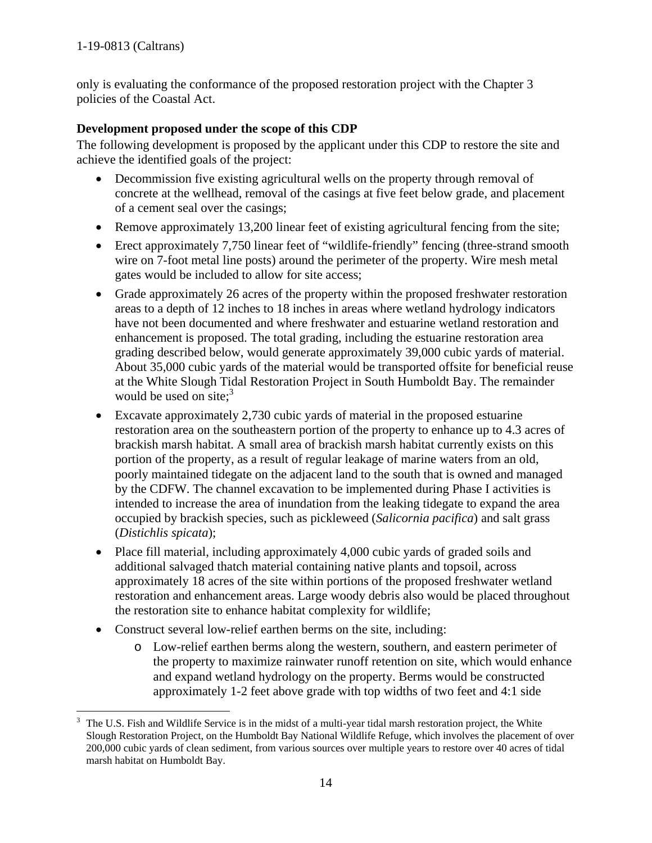only is evaluating the conformance of the proposed restoration project with the Chapter 3 policies of the Coastal Act.

## **Development proposed under the scope of this CDP**

The following development is proposed by the applicant under this CDP to restore the site and achieve the identified goals of the project:

- Decommission five existing agricultural wells on the property through removal of concrete at the wellhead, removal of the casings at five feet below grade, and placement of a cement seal over the casings;
- Remove approximately 13,200 linear feet of existing agricultural fencing from the site;
- Erect approximately 7,750 linear feet of "wildlife-friendly" fencing (three-strand smooth wire on 7-foot metal line posts) around the perimeter of the property. Wire mesh metal gates would be included to allow for site access;
- Grade approximately 26 acres of the property within the proposed freshwater restoration areas to a depth of 12 inches to 18 inches in areas where wetland hydrology indicators have not been documented and where freshwater and estuarine wetland restoration and enhancement is proposed. The total grading, including the estuarine restoration area grading described below, would generate approximately 39,000 cubic yards of material. About 35,000 cubic yards of the material would be transported offsite for beneficial reuse at the White Slough Tidal Restoration Project in South Humboldt Bay. The remainder would be used on site; $3$
- Excavate approximately 2,730 cubic yards of material in the proposed estuarine restoration area on the southeastern portion of the property to enhance up to 4.3 acres of brackish marsh habitat. A small area of brackish marsh habitat currently exists on this portion of the property, as a result of regular leakage of marine waters from an old, poorly maintained tidegate on the adjacent land to the south that is owned and managed by the CDFW. The channel excavation to be implemented during Phase I activities is intended to increase the area of inundation from the leaking tidegate to expand the area occupied by brackish species, such as pickleweed (*Salicornia pacifica*) and salt grass (*Distichlis spicata*);
- Place fill material, including approximately 4,000 cubic yards of graded soils and additional salvaged thatch material containing native plants and topsoil, across approximately 18 acres of the site within portions of the proposed freshwater wetland restoration and enhancement areas. Large woody debris also would be placed throughout the restoration site to enhance habitat complexity for wildlife;
- Construct several low-relief earthen berms on the site, including:
	- o Low-relief earthen berms along the western, southern, and eastern perimeter of the property to maximize rainwater runoff retention on site, which would enhance and expand wetland hydrology on the property. Berms would be constructed approximately 1-2 feet above grade with top widths of two feet and 4:1 side

 $\overline{a}$ 3 The U.S. Fish and Wildlife Service is in the midst of a multi-year tidal marsh restoration project, the White Slough Restoration Project, on the Humboldt Bay National Wildlife Refuge, which involves the placement of over 200,000 cubic yards of clean sediment, from various sources over multiple years to restore over 40 acres of tidal marsh habitat on Humboldt Bay.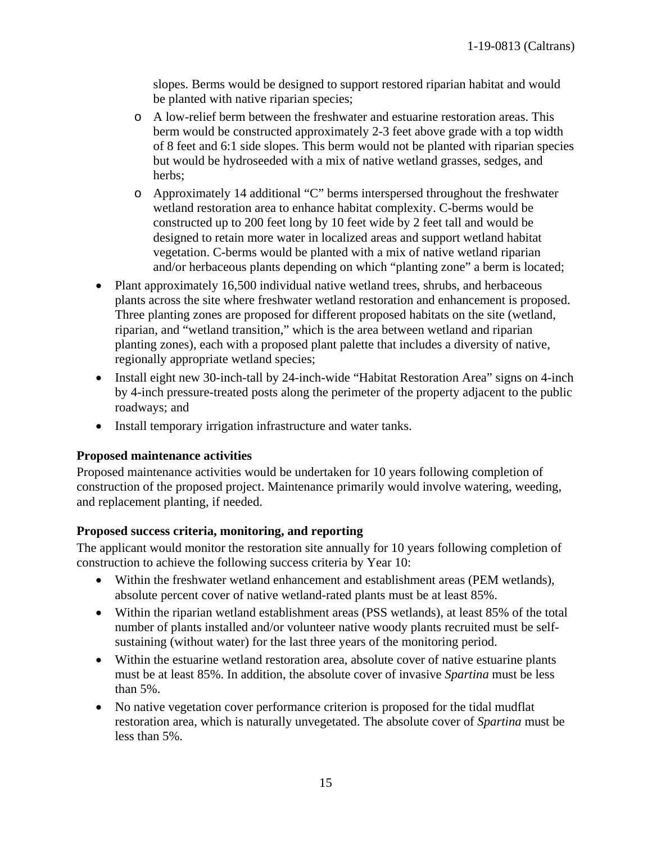slopes. Berms would be designed to support restored riparian habitat and would be planted with native riparian species;

- o A low-relief berm between the freshwater and estuarine restoration areas. This berm would be constructed approximately 2-3 feet above grade with a top width of 8 feet and 6:1 side slopes. This berm would not be planted with riparian species but would be hydroseeded with a mix of native wetland grasses, sedges, and herbs;
- o Approximately 14 additional "C" berms interspersed throughout the freshwater wetland restoration area to enhance habitat complexity. C-berms would be constructed up to 200 feet long by 10 feet wide by 2 feet tall and would be designed to retain more water in localized areas and support wetland habitat vegetation. C-berms would be planted with a mix of native wetland riparian and/or herbaceous plants depending on which "planting zone" a berm is located;
- Plant approximately 16,500 individual native wetland trees, shrubs, and herbaceous plants across the site where freshwater wetland restoration and enhancement is proposed. Three planting zones are proposed for different proposed habitats on the site (wetland, riparian, and "wetland transition," which is the area between wetland and riparian planting zones), each with a proposed plant palette that includes a diversity of native, regionally appropriate wetland species;
- Install eight new 30-inch-tall by 24-inch-wide "Habitat Restoration Area" signs on 4-inch by 4-inch pressure-treated posts along the perimeter of the property adjacent to the public roadways; and
- Install temporary irrigation infrastructure and water tanks.

#### **Proposed maintenance activities**

Proposed maintenance activities would be undertaken for 10 years following completion of construction of the proposed project. Maintenance primarily would involve watering, weeding, and replacement planting, if needed.

#### **Proposed success criteria, monitoring, and reporting**

The applicant would monitor the restoration site annually for 10 years following completion of construction to achieve the following success criteria by Year 10:

- Within the freshwater wetland enhancement and establishment areas (PEM wetlands), absolute percent cover of native wetland-rated plants must be at least 85%.
- Within the riparian wetland establishment areas (PSS wetlands), at least 85% of the total number of plants installed and/or volunteer native woody plants recruited must be selfsustaining (without water) for the last three years of the monitoring period.
- Within the estuarine wetland restoration area, absolute cover of native estuarine plants must be at least 85%. In addition, the absolute cover of invasive *Spartina* must be less than 5%.
- No native vegetation cover performance criterion is proposed for the tidal mudflat restoration area, which is naturally unvegetated. The absolute cover of *Spartina* must be less than 5%.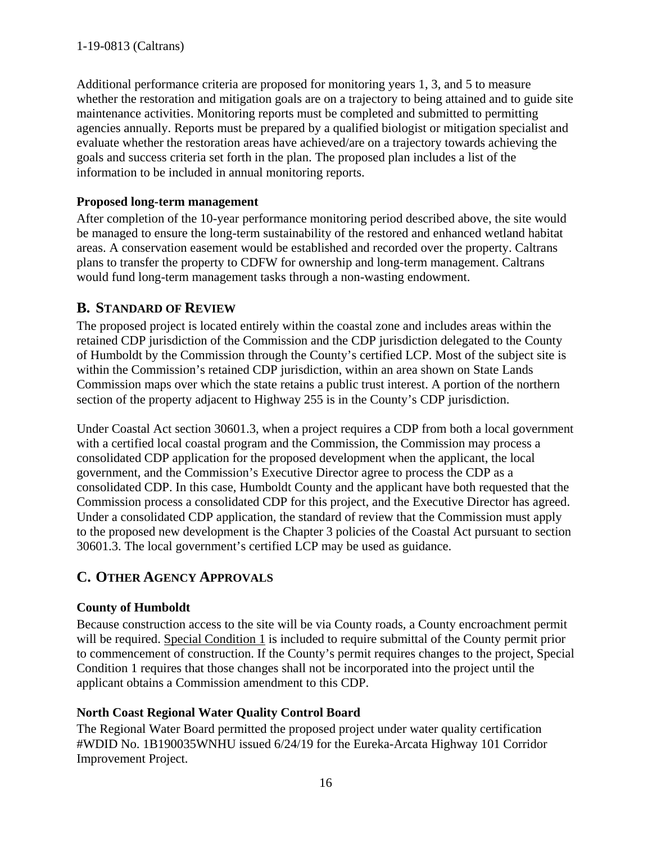Additional performance criteria are proposed for monitoring years 1, 3, and 5 to measure whether the restoration and mitigation goals are on a trajectory to being attained and to guide site maintenance activities. Monitoring reports must be completed and submitted to permitting agencies annually. Reports must be prepared by a qualified biologist or mitigation specialist and evaluate whether the restoration areas have achieved/are on a trajectory towards achieving the goals and success criteria set forth in the plan. The proposed plan includes a list of the information to be included in annual monitoring reports.

## **Proposed long-term management**

After completion of the 10-year performance monitoring period described above, the site would be managed to ensure the long-term sustainability of the restored and enhanced wetland habitat areas. A conservation easement would be established and recorded over the property. Caltrans plans to transfer the property to CDFW for ownership and long-term management. Caltrans would fund long-term management tasks through a non-wasting endowment.

# <span id="page-15-0"></span>**B. STANDARD OF REVIEW**

The proposed project is located entirely within the coastal zone and includes areas within the retained CDP jurisdiction of the Commission and the CDP jurisdiction delegated to the County of Humboldt by the Commission through the County's certified LCP. Most of the subject site is within the Commission's retained CDP jurisdiction, within an area shown on State Lands Commission maps over which the state retains a public trust interest. A portion of the northern section of the property adjacent to Highway 255 is in the County's CDP jurisdiction.

Under Coastal Act section 30601.3, when a project requires a CDP from both a local government with a certified local coastal program and the Commission, the Commission may process a consolidated CDP application for the proposed development when the applicant, the local government, and the Commission's Executive Director agree to process the CDP as a consolidated CDP. In this case, Humboldt County and the applicant have both requested that the Commission process a consolidated CDP for this project, and the Executive Director has agreed. Under a consolidated CDP application, the standard of review that the Commission must apply to the proposed new development is the Chapter 3 policies of the Coastal Act pursuant to section 30601.3. The local government's certified LCP may be used as guidance.

# <span id="page-15-1"></span>**C. OTHER AGENCY APPROVALS**

## **County of Humboldt**

Because construction access to the site will be via County roads, a County encroachment permit will be required. Special Condition 1 is included to require submittal of the County permit prior to commencement of construction. If the County's permit requires changes to the project, Special Condition 1 requires that those changes shall not be incorporated into the project until the applicant obtains a Commission amendment to this CDP.

## **North Coast Regional Water Quality Control Board**

The Regional Water Board permitted the proposed project under water quality certification #WDID No. 1B190035WNHU issued 6/24/19 for the Eureka-Arcata Highway 101 Corridor Improvement Project.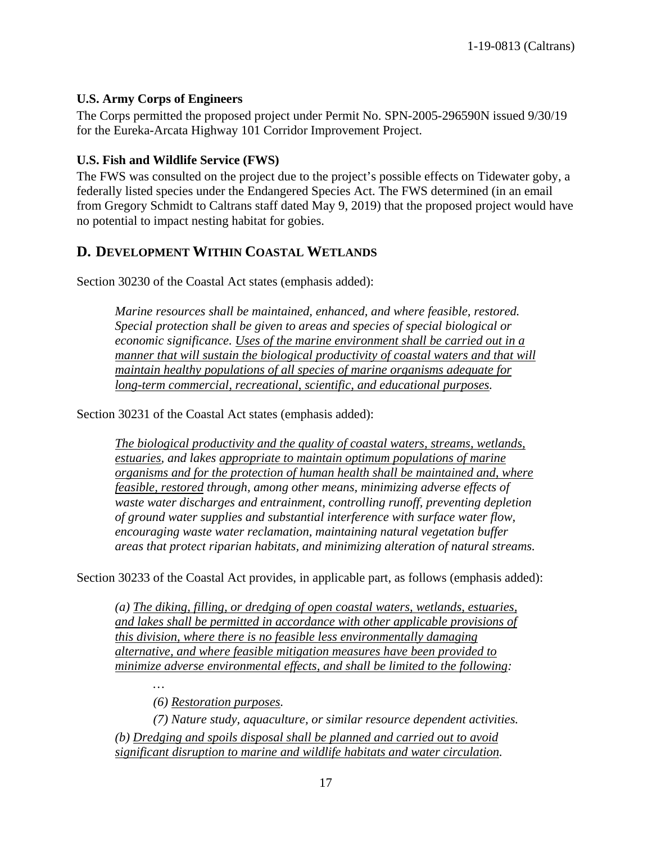#### **U.S. Army Corps of Engineers**

The Corps permitted the proposed project under Permit No. SPN-2005-296590N issued 9/30/19 for the Eureka-Arcata Highway 101 Corridor Improvement Project.

### **U.S. Fish and Wildlife Service (FWS)**

The FWS was consulted on the project due to the project's possible effects on Tidewater goby, a federally listed species under the Endangered Species Act. The FWS determined (in an email from Gregory Schmidt to Caltrans staff dated May 9, 2019) that the proposed project would have no potential to impact nesting habitat for gobies.

## <span id="page-16-0"></span>**D. DEVELOPMENT WITHIN COASTAL WETLANDS**

Section 30230 of the Coastal Act states (emphasis added):

*Marine resources shall be maintained, enhanced, and where feasible, restored. Special protection shall be given to areas and species of special biological or economic significance. Uses of the marine environment shall be carried out in a manner that will sustain the biological productivity of coastal waters and that will maintain healthy populations of all species of marine organisms adequate for long-term commercial, recreational, scientific, and educational purposes.* 

Section 30231 of the Coastal Act states (emphasis added):

*The biological productivity and the quality of coastal waters, streams, wetlands, estuaries, and lakes appropriate to maintain optimum populations of marine organisms and for the protection of human health shall be maintained and, where feasible, restored through, among other means, minimizing adverse effects of waste water discharges and entrainment, controlling runoff, preventing depletion of ground water supplies and substantial interference with surface water flow, encouraging waste water reclamation, maintaining natural vegetation buffer areas that protect riparian habitats, and minimizing alteration of natural streams.* 

Section 30233 of the Coastal Act provides, in applicable part, as follows (emphasis added):

*(a) The diking, filling, or dredging of open coastal waters, wetlands, estuaries, and lakes shall be permitted in accordance with other applicable provisions of this division, where there is no feasible less environmentally damaging alternative, and where feasible mitigation measures have been provided to minimize adverse environmental effects, and shall be limited to the following:* 

*…* 

*(6) Restoration purposes.* 

*(7) Nature study, aquaculture, or similar resource dependent activities. (b) Dredging and spoils disposal shall be planned and carried out to avoid significant disruption to marine and wildlife habitats and water circulation.*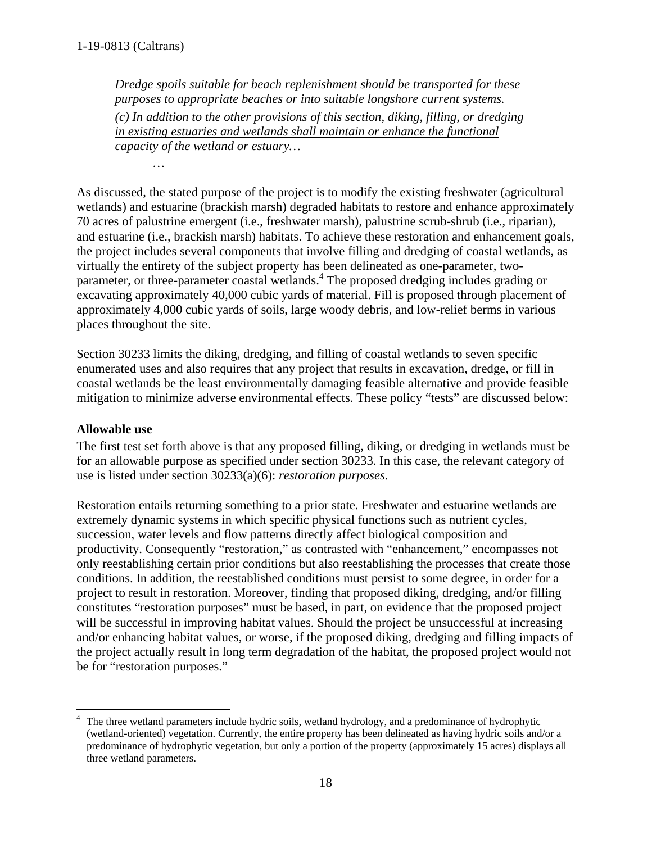*…* 

*Dredge spoils suitable for beach replenishment should be transported for these purposes to appropriate beaches or into suitable longshore current systems. (c) In addition to the other provisions of this section, diking, filling, or dredging in existing estuaries and wetlands shall maintain or enhance the functional capacity of the wetland or estuary…* 

As discussed, the stated purpose of the project is to modify the existing freshwater (agricultural wetlands) and estuarine (brackish marsh) degraded habitats to restore and enhance approximately 70 acres of palustrine emergent (i.e., freshwater marsh), palustrine scrub-shrub (i.e., riparian), and estuarine (i.e., brackish marsh) habitats. To achieve these restoration and enhancement goals, the project includes several components that involve filling and dredging of coastal wetlands, as virtually the entirety of the subject property has been delineated as one-parameter, twoparameter, or three-parameter coastal wetlands.<sup>4</sup> The proposed dredging includes grading or excavating approximately 40,000 cubic yards of material. Fill is proposed through placement of approximately 4,000 cubic yards of soils, large woody debris, and low-relief berms in various places throughout the site.

Section 30233 limits the diking, dredging, and filling of coastal wetlands to seven specific enumerated uses and also requires that any project that results in excavation, dredge, or fill in coastal wetlands be the least environmentally damaging feasible alternative and provide feasible mitigation to minimize adverse environmental effects. These policy "tests" are discussed below:

## **Allowable use**

The first test set forth above is that any proposed filling, diking, or dredging in wetlands must be for an allowable purpose as specified under section 30233. In this case, the relevant category of use is listed under section 30233(a)(6): *restoration purposes*.

Restoration entails returning something to a prior state. Freshwater and estuarine wetlands are extremely dynamic systems in which specific physical functions such as nutrient cycles, succession, water levels and flow patterns directly affect biological composition and productivity. Consequently "restoration," as contrasted with "enhancement," encompasses not only reestablishing certain prior conditions but also reestablishing the processes that create those conditions. In addition, the reestablished conditions must persist to some degree, in order for a project to result in restoration. Moreover, finding that proposed diking, dredging, and/or filling constitutes "restoration purposes" must be based, in part, on evidence that the proposed project will be successful in improving habitat values. Should the project be unsuccessful at increasing and/or enhancing habitat values, or worse, if the proposed diking, dredging and filling impacts of the project actually result in long term degradation of the habitat, the proposed project would not be for "restoration purposes."

 $\overline{a}$ 4 The three wetland parameters include hydric soils, wetland hydrology, and a predominance of hydrophytic (wetland-oriented) vegetation. Currently, the entire property has been delineated as having hydric soils and/or a predominance of hydrophytic vegetation, but only a portion of the property (approximately 15 acres) displays all three wetland parameters.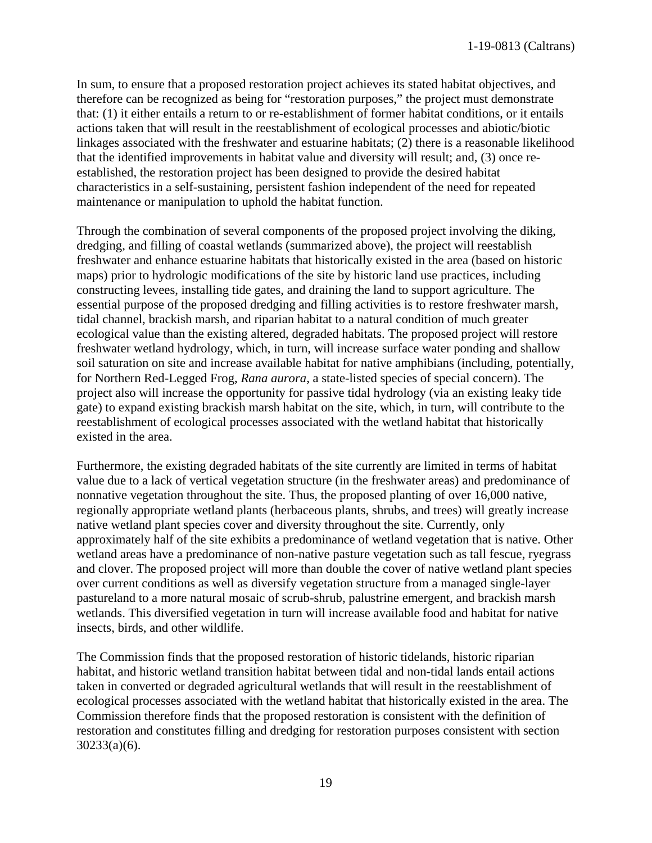In sum, to ensure that a proposed restoration project achieves its stated habitat objectives, and therefore can be recognized as being for "restoration purposes," the project must demonstrate that: (1) it either entails a return to or re-establishment of former habitat conditions, or it entails actions taken that will result in the reestablishment of ecological processes and abiotic/biotic linkages associated with the freshwater and estuarine habitats; (2) there is a reasonable likelihood that the identified improvements in habitat value and diversity will result; and, (3) once reestablished, the restoration project has been designed to provide the desired habitat characteristics in a self-sustaining, persistent fashion independent of the need for repeated maintenance or manipulation to uphold the habitat function.

Through the combination of several components of the proposed project involving the diking, dredging, and filling of coastal wetlands (summarized above), the project will reestablish freshwater and enhance estuarine habitats that historically existed in the area (based on historic maps) prior to hydrologic modifications of the site by historic land use practices, including constructing levees, installing tide gates, and draining the land to support agriculture. The essential purpose of the proposed dredging and filling activities is to restore freshwater marsh, tidal channel, brackish marsh, and riparian habitat to a natural condition of much greater ecological value than the existing altered, degraded habitats. The proposed project will restore freshwater wetland hydrology, which, in turn, will increase surface water ponding and shallow soil saturation on site and increase available habitat for native amphibians (including, potentially, for Northern Red-Legged Frog, *Rana aurora*, a state-listed species of special concern). The project also will increase the opportunity for passive tidal hydrology (via an existing leaky tide gate) to expand existing brackish marsh habitat on the site, which, in turn, will contribute to the reestablishment of ecological processes associated with the wetland habitat that historically existed in the area.

Furthermore, the existing degraded habitats of the site currently are limited in terms of habitat value due to a lack of vertical vegetation structure (in the freshwater areas) and predominance of nonnative vegetation throughout the site. Thus, the proposed planting of over 16,000 native, regionally appropriate wetland plants (herbaceous plants, shrubs, and trees) will greatly increase native wetland plant species cover and diversity throughout the site. Currently, only approximately half of the site exhibits a predominance of wetland vegetation that is native. Other wetland areas have a predominance of non-native pasture vegetation such as tall fescue, ryegrass and clover. The proposed project will more than double the cover of native wetland plant species over current conditions as well as diversify vegetation structure from a managed single-layer pastureland to a more natural mosaic of scrub-shrub, palustrine emergent, and brackish marsh wetlands. This diversified vegetation in turn will increase available food and habitat for native insects, birds, and other wildlife.

The Commission finds that the proposed restoration of historic tidelands, historic riparian habitat, and historic wetland transition habitat between tidal and non-tidal lands entail actions taken in converted or degraded agricultural wetlands that will result in the reestablishment of ecological processes associated with the wetland habitat that historically existed in the area. The Commission therefore finds that the proposed restoration is consistent with the definition of restoration and constitutes filling and dredging for restoration purposes consistent with section 30233(a)(6).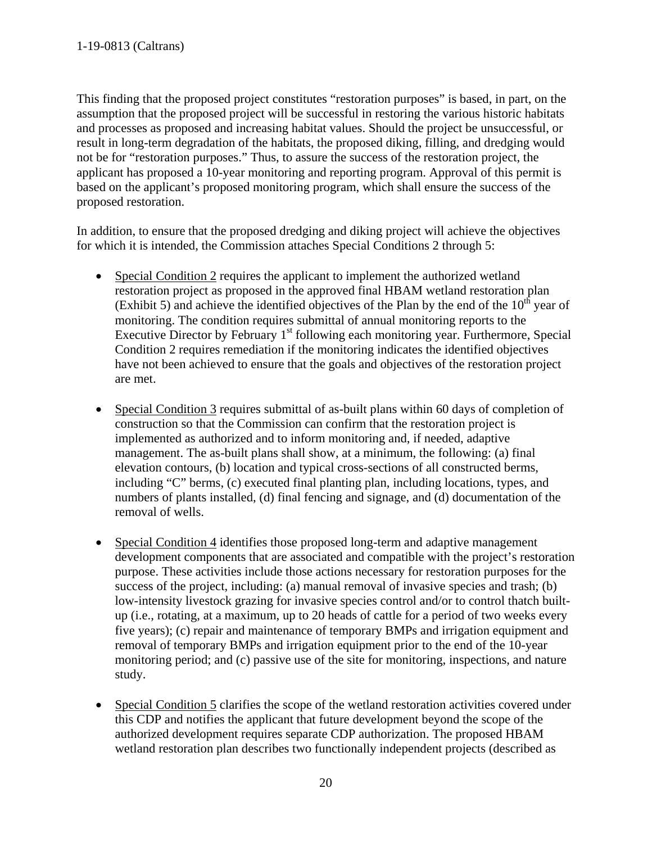This finding that the proposed project constitutes "restoration purposes" is based, in part, on the assumption that the proposed project will be successful in restoring the various historic habitats and processes as proposed and increasing habitat values. Should the project be unsuccessful, or result in long-term degradation of the habitats, the proposed diking, filling, and dredging would not be for "restoration purposes." Thus, to assure the success of the restoration project, the applicant has proposed a 10-year monitoring and reporting program. Approval of this permit is based on the applicant's proposed monitoring program, which shall ensure the success of the proposed restoration.

In addition, to ensure that the proposed dredging and diking project will achieve the objectives for which it is intended, the Commission attaches Special Conditions 2 through 5:

- Special Condition 2 requires the applicant to implement the authorized wetland restoration project as proposed in the approved final HBAM wetland restoration plan (Exhibit 5) and achieve the identified objectives of the Plan by the end of the  $10<sup>th</sup>$  year of monitoring. The condition requires submittal of annual monitoring reports to the Executive Director by February  $1<sup>st</sup>$  following each monitoring year. Furthermore, Special Condition 2 requires remediation if the monitoring indicates the identified objectives have not been achieved to ensure that the goals and objectives of the restoration project are met.
- Special Condition 3 requires submittal of as-built plans within 60 days of completion of construction so that the Commission can confirm that the restoration project is implemented as authorized and to inform monitoring and, if needed, adaptive management. The as-built plans shall show, at a minimum, the following: (a) final elevation contours, (b) location and typical cross-sections of all constructed berms, including "C" berms, (c) executed final planting plan, including locations, types, and numbers of plants installed, (d) final fencing and signage, and (d) documentation of the removal of wells.
- Special Condition 4 identifies those proposed long-term and adaptive management development components that are associated and compatible with the project's restoration purpose. These activities include those actions necessary for restoration purposes for the success of the project, including: (a) manual removal of invasive species and trash; (b) low-intensity livestock grazing for invasive species control and/or to control thatch builtup (i.e., rotating, at a maximum, up to 20 heads of cattle for a period of two weeks every five years); (c) repair and maintenance of temporary BMPs and irrigation equipment and removal of temporary BMPs and irrigation equipment prior to the end of the 10-year monitoring period; and (c) passive use of the site for monitoring, inspections, and nature study.
- Special Condition 5 clarifies the scope of the wetland restoration activities covered under this CDP and notifies the applicant that future development beyond the scope of the authorized development requires separate CDP authorization. The proposed HBAM wetland restoration plan describes two functionally independent projects (described as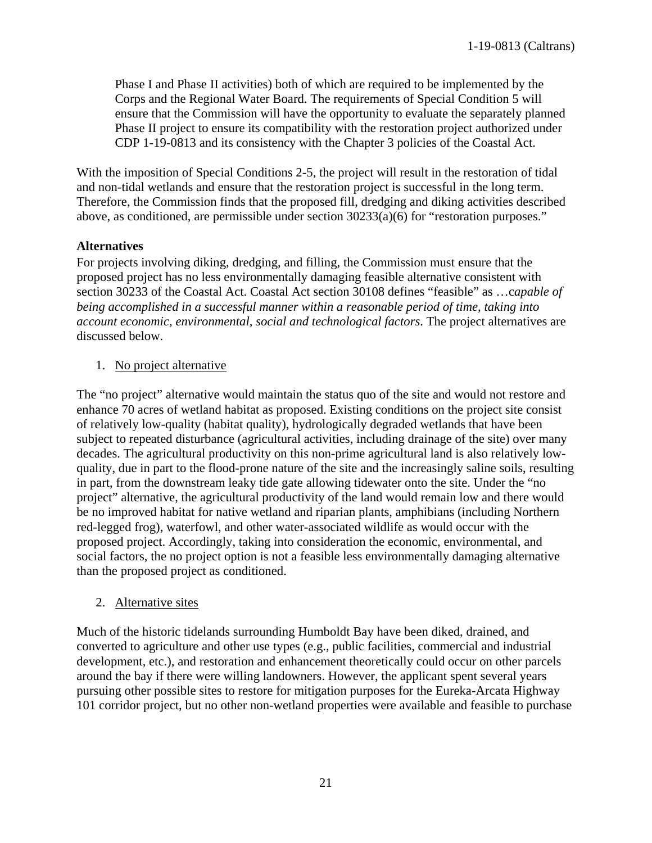Phase I and Phase II activities) both of which are required to be implemented by the Corps and the Regional Water Board. The requirements of Special Condition 5 will ensure that the Commission will have the opportunity to evaluate the separately planned Phase II project to ensure its compatibility with the restoration project authorized under CDP 1-19-0813 and its consistency with the Chapter 3 policies of the Coastal Act.

With the imposition of Special Conditions 2-5, the project will result in the restoration of tidal and non-tidal wetlands and ensure that the restoration project is successful in the long term. Therefore, the Commission finds that the proposed fill, dredging and diking activities described above, as conditioned, are permissible under section 30233(a)(6) for "restoration purposes."

## **Alternatives**

For projects involving diking, dredging, and filling, the Commission must ensure that the proposed project has no less environmentally damaging feasible alternative consistent with section 30233 of the Coastal Act. Coastal Act section 30108 defines "feasible" as …c*apable of being accomplished in a successful manner within a reasonable period of time, taking into account economic, environmental, social and technological factors*. The project alternatives are discussed below.

## 1. No project alternative

The "no project" alternative would maintain the status quo of the site and would not restore and enhance 70 acres of wetland habitat as proposed. Existing conditions on the project site consist of relatively low-quality (habitat quality), hydrologically degraded wetlands that have been subject to repeated disturbance (agricultural activities, including drainage of the site) over many decades. The agricultural productivity on this non-prime agricultural land is also relatively lowquality, due in part to the flood-prone nature of the site and the increasingly saline soils, resulting in part, from the downstream leaky tide gate allowing tidewater onto the site. Under the "no project" alternative, the agricultural productivity of the land would remain low and there would be no improved habitat for native wetland and riparian plants, amphibians (including Northern red-legged frog), waterfowl, and other water-associated wildlife as would occur with the proposed project. Accordingly, taking into consideration the economic, environmental, and social factors, the no project option is not a feasible less environmentally damaging alternative than the proposed project as conditioned.

## 2. Alternative sites

Much of the historic tidelands surrounding Humboldt Bay have been diked, drained, and converted to agriculture and other use types (e.g., public facilities, commercial and industrial development, etc.), and restoration and enhancement theoretically could occur on other parcels around the bay if there were willing landowners. However, the applicant spent several years pursuing other possible sites to restore for mitigation purposes for the Eureka-Arcata Highway 101 corridor project, but no other non-wetland properties were available and feasible to purchase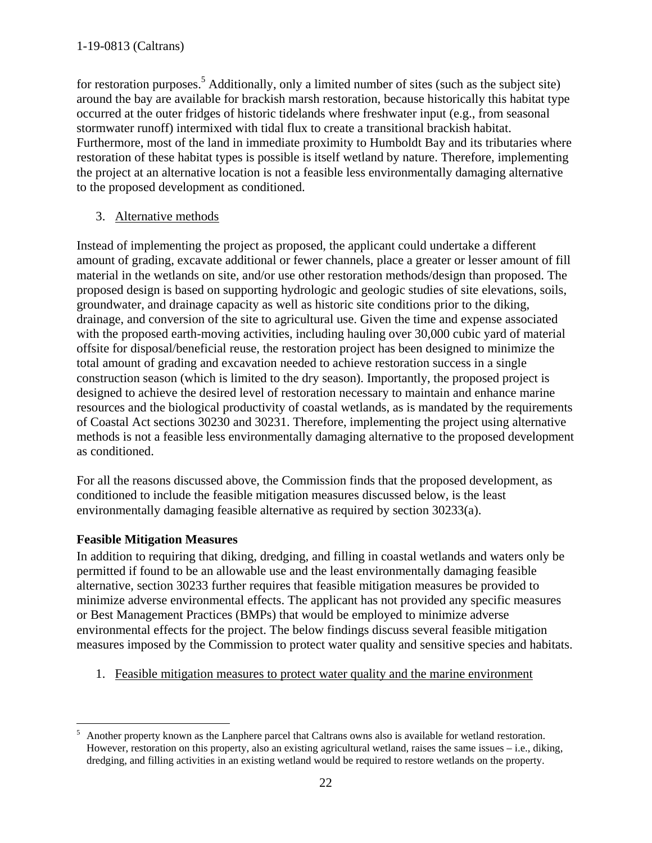for restoration purposes.<sup>5</sup> Additionally, only a limited number of sites (such as the subject site) around the bay are available for brackish marsh restoration, because historically this habitat type occurred at the outer fridges of historic tidelands where freshwater input (e.g., from seasonal stormwater runoff) intermixed with tidal flux to create a transitional brackish habitat. Furthermore, most of the land in immediate proximity to Humboldt Bay and its tributaries where restoration of these habitat types is possible is itself wetland by nature. Therefore, implementing the project at an alternative location is not a feasible less environmentally damaging alternative to the proposed development as conditioned.

3. Alternative methods

Instead of implementing the project as proposed, the applicant could undertake a different amount of grading, excavate additional or fewer channels, place a greater or lesser amount of fill material in the wetlands on site, and/or use other restoration methods/design than proposed. The proposed design is based on supporting hydrologic and geologic studies of site elevations, soils, groundwater, and drainage capacity as well as historic site conditions prior to the diking, drainage, and conversion of the site to agricultural use. Given the time and expense associated with the proposed earth-moving activities, including hauling over 30,000 cubic yard of material offsite for disposal/beneficial reuse, the restoration project has been designed to minimize the total amount of grading and excavation needed to achieve restoration success in a single construction season (which is limited to the dry season). Importantly, the proposed project is designed to achieve the desired level of restoration necessary to maintain and enhance marine resources and the biological productivity of coastal wetlands, as is mandated by the requirements of Coastal Act sections 30230 and 30231. Therefore, implementing the project using alternative methods is not a feasible less environmentally damaging alternative to the proposed development as conditioned.

For all the reasons discussed above, the Commission finds that the proposed development, as conditioned to include the feasible mitigation measures discussed below, is the least environmentally damaging feasible alternative as required by section 30233(a).

## **Feasible Mitigation Measures**

In addition to requiring that diking, dredging, and filling in coastal wetlands and waters only be permitted if found to be an allowable use and the least environmentally damaging feasible alternative, section 30233 further requires that feasible mitigation measures be provided to minimize adverse environmental effects. The applicant has not provided any specific measures or Best Management Practices (BMPs) that would be employed to minimize adverse environmental effects for the project. The below findings discuss several feasible mitigation measures imposed by the Commission to protect water quality and sensitive species and habitats.

1. Feasible mitigation measures to protect water quality and the marine environment

 5 Another property known as the Lanphere parcel that Caltrans owns also is available for wetland restoration. However, restoration on this property, also an existing agricultural wetland, raises the same issues – i.e., diking, dredging, and filling activities in an existing wetland would be required to restore wetlands on the property.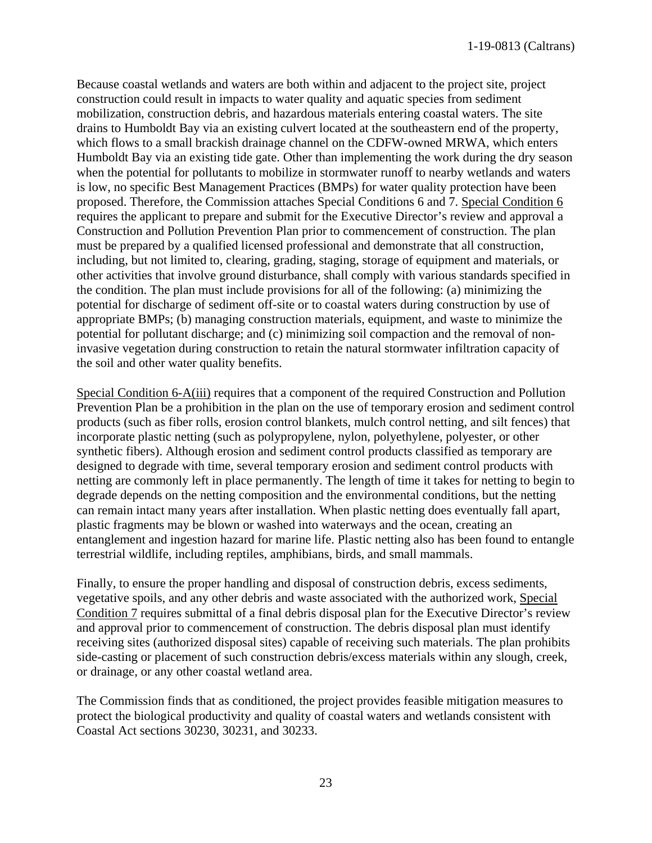Because coastal wetlands and waters are both within and adjacent to the project site, project construction could result in impacts to water quality and aquatic species from sediment mobilization, construction debris, and hazardous materials entering coastal waters. The site drains to Humboldt Bay via an existing culvert located at the southeastern end of the property, which flows to a small brackish drainage channel on the CDFW-owned MRWA, which enters Humboldt Bay via an existing tide gate. Other than implementing the work during the dry season when the potential for pollutants to mobilize in stormwater runoff to nearby wetlands and waters is low, no specific Best Management Practices (BMPs) for water quality protection have been proposed. Therefore, the Commission attaches Special Conditions 6 and 7. Special Condition 6 requires the applicant to prepare and submit for the Executive Director's review and approval a Construction and Pollution Prevention Plan prior to commencement of construction. The plan must be prepared by a qualified licensed professional and demonstrate that all construction, including, but not limited to, clearing, grading, staging, storage of equipment and materials, or other activities that involve ground disturbance, shall comply with various standards specified in the condition. The plan must include provisions for all of the following: (a) minimizing the potential for discharge of sediment off-site or to coastal waters during construction by use of appropriate BMPs; (b) managing construction materials, equipment, and waste to minimize the potential for pollutant discharge; and (c) minimizing soil compaction and the removal of noninvasive vegetation during construction to retain the natural stormwater infiltration capacity of the soil and other water quality benefits.

Special Condition 6-A(iii) requires that a component of the required Construction and Pollution Prevention Plan be a prohibition in the plan on the use of temporary erosion and sediment control products (such as fiber rolls, erosion control blankets, mulch control netting, and silt fences) that incorporate plastic netting (such as polypropylene, nylon, polyethylene, polyester, or other synthetic fibers). Although erosion and sediment control products classified as temporary are designed to degrade with time, several temporary erosion and sediment control products with netting are commonly left in place permanently. The length of time it takes for netting to begin to degrade depends on the netting composition and the environmental conditions, but the netting can remain intact many years after installation. When plastic netting does eventually fall apart, plastic fragments may be blown or washed into waterways and the ocean, creating an entanglement and ingestion hazard for marine life. Plastic netting also has been found to entangle terrestrial wildlife, including reptiles, amphibians, birds, and small mammals.

Finally, to ensure the proper handling and disposal of construction debris, excess sediments, vegetative spoils, and any other debris and waste associated with the authorized work, Special Condition 7 requires submittal of a final debris disposal plan for the Executive Director's review and approval prior to commencement of construction. The debris disposal plan must identify receiving sites (authorized disposal sites) capable of receiving such materials. The plan prohibits side-casting or placement of such construction debris/excess materials within any slough, creek, or drainage, or any other coastal wetland area.

The Commission finds that as conditioned, the project provides feasible mitigation measures to protect the biological productivity and quality of coastal waters and wetlands consistent with Coastal Act sections 30230, 30231, and 30233.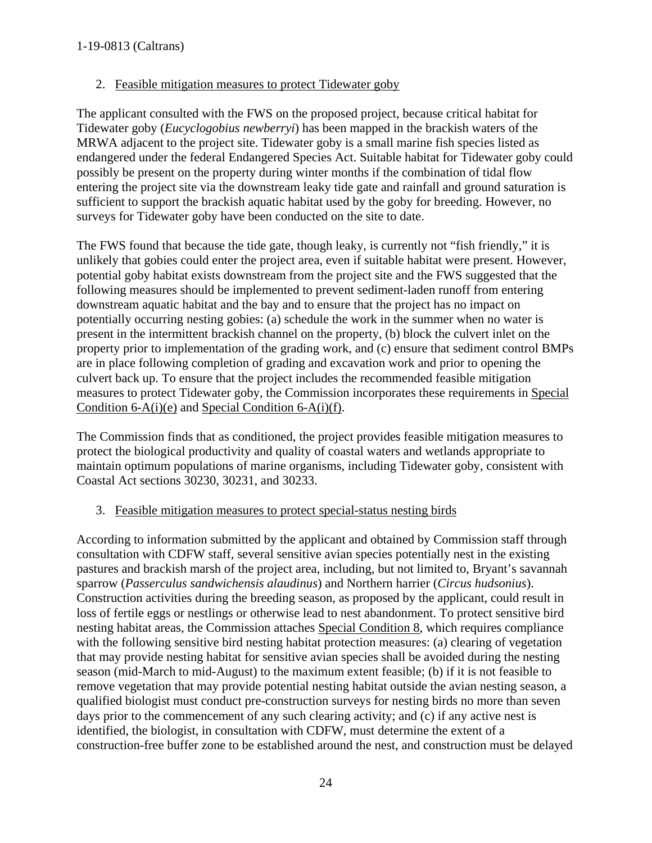## 2. Feasible mitigation measures to protect Tidewater goby

The applicant consulted with the FWS on the proposed project, because critical habitat for Tidewater goby (*Eucyclogobius newberryi*) has been mapped in the brackish waters of the MRWA adjacent to the project site. Tidewater goby is a small marine fish species listed as endangered under the federal Endangered Species Act. Suitable habitat for Tidewater goby could possibly be present on the property during winter months if the combination of tidal flow entering the project site via the downstream leaky tide gate and rainfall and ground saturation is sufficient to support the brackish aquatic habitat used by the goby for breeding. However, no surveys for Tidewater goby have been conducted on the site to date.

The FWS found that because the tide gate, though leaky, is currently not "fish friendly," it is unlikely that gobies could enter the project area, even if suitable habitat were present. However, potential goby habitat exists downstream from the project site and the FWS suggested that the following measures should be implemented to prevent sediment-laden runoff from entering downstream aquatic habitat and the bay and to ensure that the project has no impact on potentially occurring nesting gobies: (a) schedule the work in the summer when no water is present in the intermittent brackish channel on the property, (b) block the culvert inlet on the property prior to implementation of the grading work, and (c) ensure that sediment control BMPs are in place following completion of grading and excavation work and prior to opening the culvert back up. To ensure that the project includes the recommended feasible mitigation measures to protect Tidewater goby, the Commission incorporates these requirements in Special Condition 6-A(i)(e) and Special Condition 6-A(i)(f).

The Commission finds that as conditioned, the project provides feasible mitigation measures to protect the biological productivity and quality of coastal waters and wetlands appropriate to maintain optimum populations of marine organisms, including Tidewater goby, consistent with Coastal Act sections 30230, 30231, and 30233.

## 3. Feasible mitigation measures to protect special-status nesting birds

According to information submitted by the applicant and obtained by Commission staff through consultation with CDFW staff, several sensitive avian species potentially nest in the existing pastures and brackish marsh of the project area, including, but not limited to, Bryant's savannah sparrow (*Passerculus sandwichensis alaudinus*) and Northern harrier (*Circus hudsonius*). Construction activities during the breeding season, as proposed by the applicant, could result in loss of fertile eggs or nestlings or otherwise lead to nest abandonment. To protect sensitive bird nesting habitat areas, the Commission attaches Special Condition 8, which requires compliance with the following sensitive bird nesting habitat protection measures: (a) clearing of vegetation that may provide nesting habitat for sensitive avian species shall be avoided during the nesting season (mid-March to mid-August) to the maximum extent feasible; (b) if it is not feasible to remove vegetation that may provide potential nesting habitat outside the avian nesting season, a qualified biologist must conduct pre-construction surveys for nesting birds no more than seven days prior to the commencement of any such clearing activity; and (c) if any active nest is identified, the biologist, in consultation with CDFW, must determine the extent of a construction-free buffer zone to be established around the nest, and construction must be delayed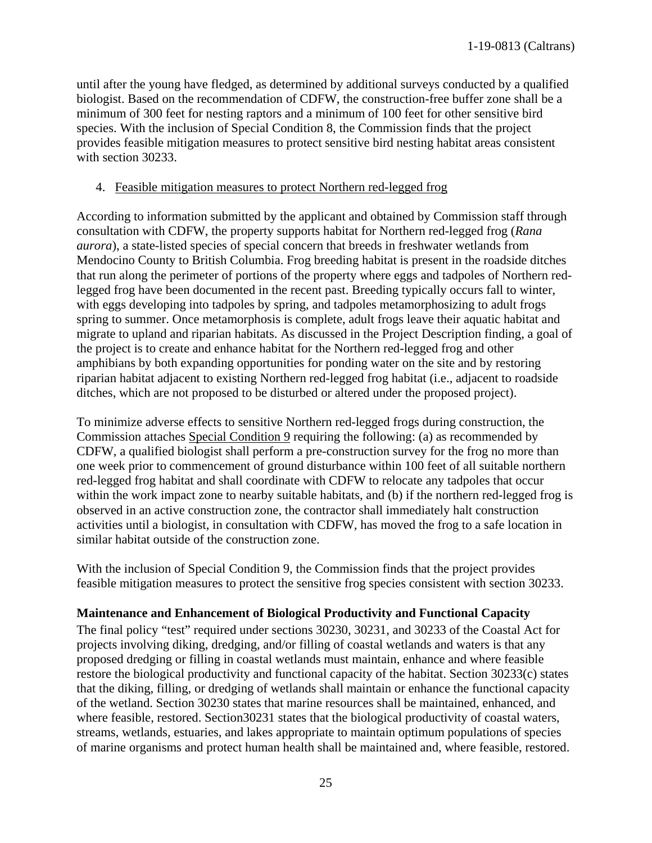until after the young have fledged, as determined by additional surveys conducted by a qualified biologist. Based on the recommendation of CDFW, the construction-free buffer zone shall be a minimum of 300 feet for nesting raptors and a minimum of 100 feet for other sensitive bird species. With the inclusion of Special Condition 8, the Commission finds that the project provides feasible mitigation measures to protect sensitive bird nesting habitat areas consistent with section 30233.

#### 4. Feasible mitigation measures to protect Northern red-legged frog

According to information submitted by the applicant and obtained by Commission staff through consultation with CDFW, the property supports habitat for Northern red-legged frog (*Rana aurora*), a state-listed species of special concern that breeds in freshwater wetlands from Mendocino County to British Columbia. Frog breeding habitat is present in the roadside ditches that run along the perimeter of portions of the property where eggs and tadpoles of Northern redlegged frog have been documented in the recent past. Breeding typically occurs fall to winter, with eggs developing into tadpoles by spring, and tadpoles metamorphosizing to adult frogs spring to summer. Once metamorphosis is complete, adult frogs leave their aquatic habitat and migrate to upland and riparian habitats. As discussed in the Project Description finding, a goal of the project is to create and enhance habitat for the Northern red-legged frog and other amphibians by both expanding opportunities for ponding water on the site and by restoring riparian habitat adjacent to existing Northern red-legged frog habitat (i.e., adjacent to roadside ditches, which are not proposed to be disturbed or altered under the proposed project).

To minimize adverse effects to sensitive Northern red-legged frogs during construction, the Commission attaches Special Condition 9 requiring the following: (a) as recommended by CDFW, a qualified biologist shall perform a pre-construction survey for the frog no more than one week prior to commencement of ground disturbance within 100 feet of all suitable northern red-legged frog habitat and shall coordinate with CDFW to relocate any tadpoles that occur within the work impact zone to nearby suitable habitats, and (b) if the northern red-legged frog is observed in an active construction zone, the contractor shall immediately halt construction activities until a biologist, in consultation with CDFW, has moved the frog to a safe location in similar habitat outside of the construction zone.

With the inclusion of Special Condition 9, the Commission finds that the project provides feasible mitigation measures to protect the sensitive frog species consistent with section 30233.

#### **Maintenance and Enhancement of Biological Productivity and Functional Capacity**

The final policy "test" required under sections 30230, 30231, and 30233 of the Coastal Act for projects involving diking, dredging, and/or filling of coastal wetlands and waters is that any proposed dredging or filling in coastal wetlands must maintain, enhance and where feasible restore the biological productivity and functional capacity of the habitat. Section 30233(c) states that the diking, filling, or dredging of wetlands shall maintain or enhance the functional capacity of the wetland. Section 30230 states that marine resources shall be maintained, enhanced, and where feasible, restored. Section30231 states that the biological productivity of coastal waters, streams, wetlands, estuaries, and lakes appropriate to maintain optimum populations of species of marine organisms and protect human health shall be maintained and, where feasible, restored.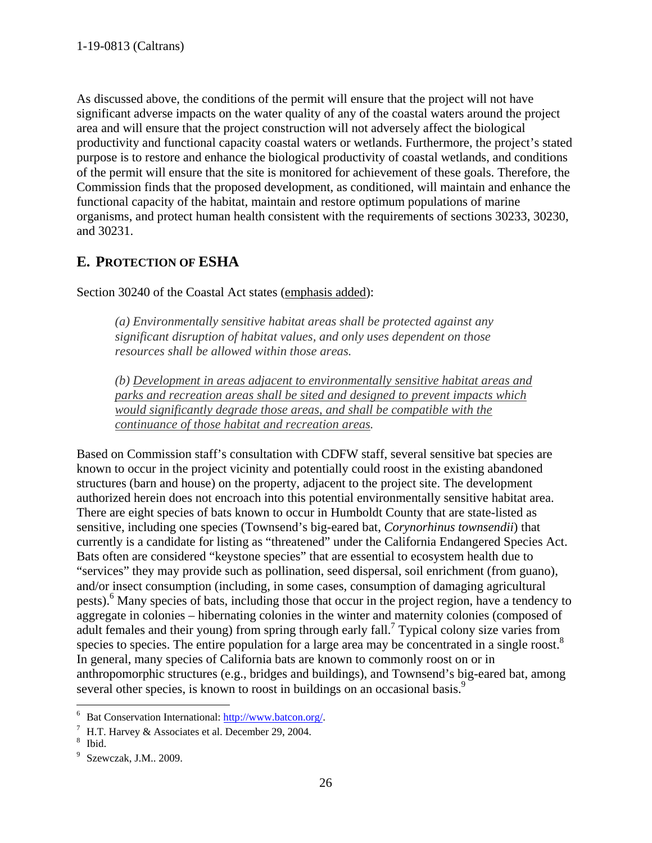As discussed above, the conditions of the permit will ensure that the project will not have significant adverse impacts on the water quality of any of the coastal waters around the project area and will ensure that the project construction will not adversely affect the biological productivity and functional capacity coastal waters or wetlands. Furthermore, the project's stated purpose is to restore and enhance the biological productivity of coastal wetlands, and conditions of the permit will ensure that the site is monitored for achievement of these goals. Therefore, the Commission finds that the proposed development, as conditioned, will maintain and enhance the functional capacity of the habitat, maintain and restore optimum populations of marine organisms, and protect human health consistent with the requirements of sections 30233, 30230, and 30231.

# <span id="page-25-0"></span>**E. PROTECTION OF ESHA**

Section 30240 of the Coastal Act states (emphasis added):

*(a) Environmentally sensitive habitat areas shall be protected against any significant disruption of habitat values, and only uses dependent on those resources shall be allowed within those areas.*

*(b) Development in areas adjacent to environmentally sensitive habitat areas and parks and recreation areas shall be sited and designed to prevent impacts which would significantly degrade those areas, and shall be compatible with the continuance of those habitat and recreation areas.*

Based on Commission staff's consultation with CDFW staff, several sensitive bat species are known to occur in the project vicinity and potentially could roost in the existing abandoned structures (barn and house) on the property, adjacent to the project site. The development authorized herein does not encroach into this potential environmentally sensitive habitat area. There are eight species of bats known to occur in Humboldt County that are state-listed as sensitive, including one species (Townsend's big-eared bat, *Corynorhinus townsendii*) that currently is a candidate for listing as "threatened" under the California Endangered Species Act. Bats often are considered "keystone species" that are essential to ecosystem health due to "services" they may provide such as pollination, seed dispersal, soil enrichment (from guano), and/or insect consumption (including, in some cases, consumption of damaging agricultural pests).<sup>6</sup> Many species of bats, including those that occur in the project region, have a tendency to aggregate in colonies – hibernating colonies in the winter and maternity colonies (composed of adult females and their young) from spring through early fall.<sup>7</sup> Typical colony size varies from species to species. The entire population for a large area may be concentrated in a single roost.<sup>8</sup> In general, many species of California bats are known to commonly roost on or in anthropomorphic structures (e.g., bridges and buildings), and Townsend's big-eared bat, among several other species, is known to roost in buildings on an occasional basis.<sup>9</sup>

 $\overline{a}$ Expansion International:  $\frac{http://www.batcon.org/}{http://www.batcon.org/}.$ <br>  $^7$  H T Hervey & Accociates et al. December 20, 2004

 $\frac{7}{1}$  H.T. Harvey & Associates et al. December 29, 2004.

Ibid.

<sup>&</sup>lt;sup>9</sup> Szewczak, J.M.. 2009.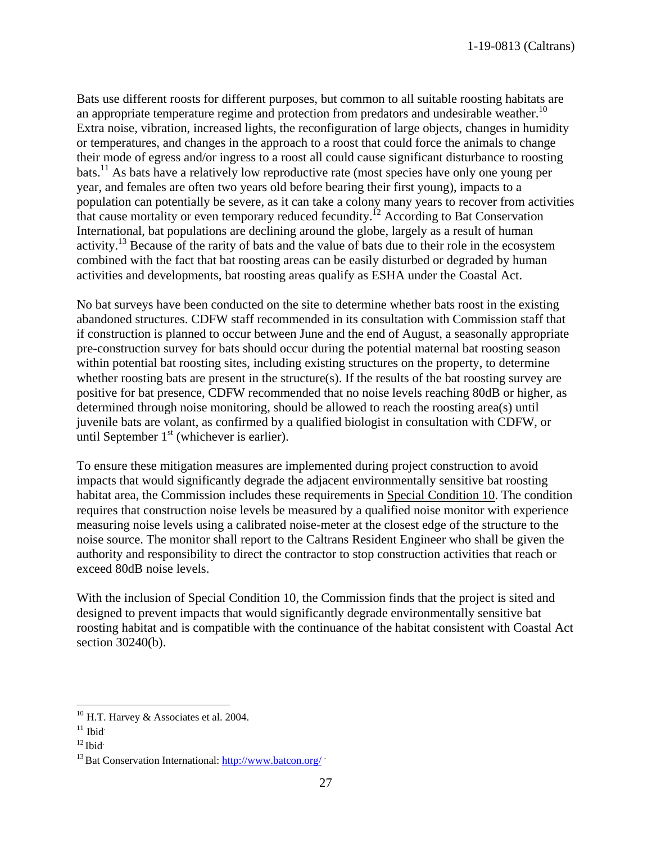Bats use different roosts for different purposes, but common to all suitable roosting habitats are an appropriate temperature regime and protection from predators and undesirable weather.<sup>10</sup> Extra noise, vibration, increased lights, the reconfiguration of large objects, changes in humidity or temperatures, and changes in the approach to a roost that could force the animals to change their mode of egress and/or ingress to a roost all could cause significant disturbance to roosting bats.11 As bats have a relatively low reproductive rate (most species have only one young per year, and females are often two years old before bearing their first young), impacts to a population can potentially be severe, as it can take a colony many years to recover from activities that cause mortality or even temporary reduced fecundity.12 According to Bat Conservation International, bat populations are declining around the globe, largely as a result of human activity.<sup>13</sup> Because of the rarity of bats and the value of bats due to their role in the ecosystem combined with the fact that bat roosting areas can be easily disturbed or degraded by human activities and developments, bat roosting areas qualify as ESHA under the Coastal Act.

No bat surveys have been conducted on the site to determine whether bats roost in the existing abandoned structures. CDFW staff recommended in its consultation with Commission staff that if construction is planned to occur between June and the end of August, a seasonally appropriate pre-construction survey for bats should occur during the potential maternal bat roosting season within potential bat roosting sites, including existing structures on the property, to determine whether roosting bats are present in the structure(s). If the results of the bat roosting survey are positive for bat presence, CDFW recommended that no noise levels reaching 80dB or higher, as determined through noise monitoring, should be allowed to reach the roosting area(s) until juvenile bats are volant, as confirmed by a qualified biologist in consultation with CDFW, or until September  $1<sup>st</sup>$  (whichever is earlier).

To ensure these mitigation measures are implemented during project construction to avoid impacts that would significantly degrade the adjacent environmentally sensitive bat roosting habitat area, the Commission includes these requirements in Special Condition 10. The condition requires that construction noise levels be measured by a qualified noise monitor with experience measuring noise levels using a calibrated noise-meter at the closest edge of the structure to the noise source. The monitor shall report to the Caltrans Resident Engineer who shall be given the authority and responsibility to direct the contractor to stop construction activities that reach or exceed 80dB noise levels.

With the inclusion of Special Condition 10, the Commission finds that the project is sited and designed to prevent impacts that would significantly degrade environmentally sensitive bat roosting habitat and is compatible with the continuance of the habitat consistent with Coastal Act section 30240(b).

 $\overline{a}$  $10$  H.T. Harvey & Associates et al. 2004.

 $11$  Ibid.

 $12$  Ibid.

<sup>&</sup>lt;sup>13</sup> Bat Conservation International[: http://www.batcon.org/](http://www.batcon.org/)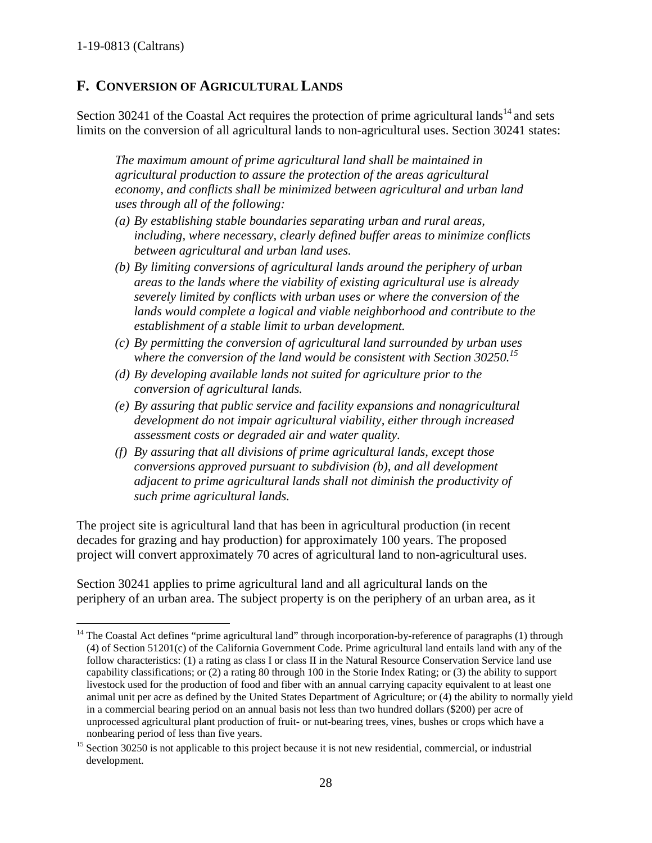# <span id="page-27-0"></span>**F. CONVERSION OF AGRICULTURAL LANDS**

Section 30241 of the Coastal Act requires the protection of prime agricultural lands<sup>14</sup> and sets limits on the conversion of all agricultural lands to non-agricultural uses. Section 30241 states:

*The maximum amount of prime agricultural land shall be maintained in agricultural production to assure the protection of the areas agricultural economy, and conflicts shall be minimized between agricultural and urban land uses through all of the following:*

- *(a) By establishing stable boundaries separating urban and rural areas, including, where necessary, clearly defined buffer areas to minimize conflicts between agricultural and urban land uses.*
- *(b) By limiting conversions of agricultural lands around the periphery of urban areas to the lands where the viability of existing agricultural use is already severely limited by conflicts with urban uses or where the conversion of the lands would complete a logical and viable neighborhood and contribute to the establishment of a stable limit to urban development.*
- *(c) By permitting the conversion of agricultural land surrounded by urban uses where the conversion of the land would be consistent with Section 30250.<sup>15</sup>*
- *(d) By developing available lands not suited for agriculture prior to the conversion of agricultural lands.*
- *(e) By assuring that public service and facility expansions and nonagricultural development do not impair agricultural viability, either through increased assessment costs or degraded air and water quality.*
- *(f) By assuring that all divisions of prime agricultural lands, except those conversions approved pursuant to subdivision (b), and all development adjacent to prime agricultural lands shall not diminish the productivity of such prime agricultural lands.*

The project site is agricultural land that has been in agricultural production (in recent decades for grazing and hay production) for approximately 100 years. The proposed project will convert approximately 70 acres of agricultural land to non-agricultural uses.

Section 30241 applies to prime agricultural land and all agricultural lands on the periphery of an urban area. The subject property is on the periphery of an urban area, as it

 $\overline{a}$ <sup>14</sup> The Coastal Act defines "prime agricultural land" through incorporation-by-reference of paragraphs (1) through (4) of Section 51201(c) of the California Government Code. Prime agricultural land entails land with any of the follow characteristics: (1) a rating as class I or class II in the Natural Resource Conservation Service land use capability classifications; or (2) a rating 80 through 100 in the Storie Index Rating; or (3) the ability to support livestock used for the production of food and fiber with an annual carrying capacity equivalent to at least one animal unit per acre as defined by the United States Department of Agriculture; or (4) the ability to normally yield in a commercial bearing period on an annual basis not less than two hundred dollars (\$200) per acre of unprocessed agricultural plant production of fruit- or nut-bearing trees, vines, bushes or crops which have a nonbearing period of less than five years.

<sup>&</sup>lt;sup>15</sup> Section 30250 is not applicable to this project because it is not new residential, commercial, or industrial development.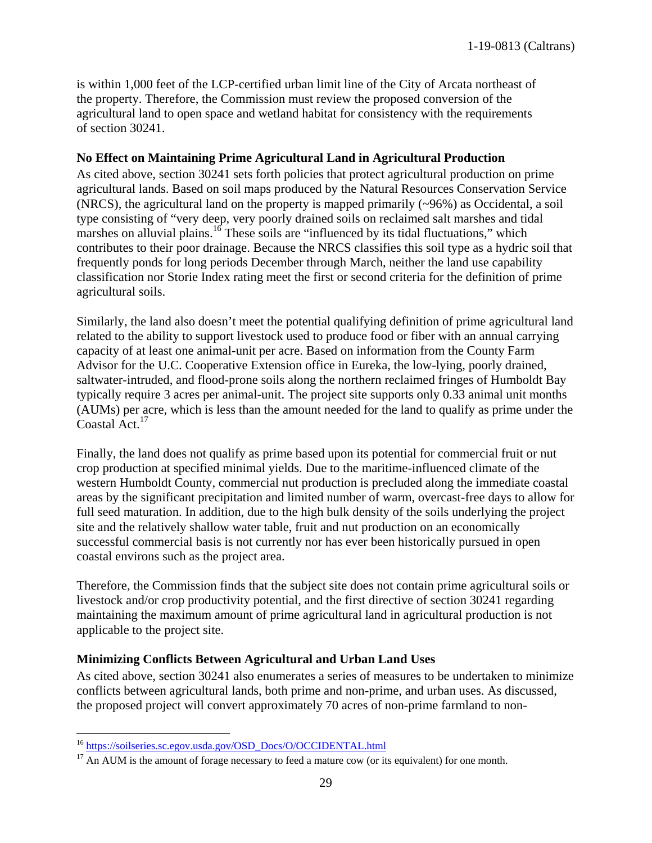is within 1,000 feet of the LCP-certified urban limit line of the City of Arcata northeast of the property. Therefore, the Commission must review the proposed conversion of the agricultural land to open space and wetland habitat for consistency with the requirements of section 30241.

#### **No Effect on Maintaining Prime Agricultural Land in Agricultural Production**

As cited above, section 30241 sets forth policies that protect agricultural production on prime agricultural lands. Based on soil maps produced by the Natural Resources Conservation Service (NRCS), the agricultural land on the property is mapped primarily (~96%) as Occidental, a soil type consisting of "very deep, very poorly drained soils on reclaimed salt marshes and tidal marshes on alluvial plains.<sup>16</sup> These soils are "influenced by its tidal fluctuations," which contributes to their poor drainage. Because the NRCS classifies this soil type as a hydric soil that frequently ponds for long periods December through March, neither the land use capability classification nor Storie Index rating meet the first or second criteria for the definition of prime agricultural soils.

Similarly, the land also doesn't meet the potential qualifying definition of prime agricultural land related to the ability to support livestock used to produce food or fiber with an annual carrying capacity of at least one animal-unit per acre. Based on information from the County Farm Advisor for the U.C. Cooperative Extension office in Eureka, the low-lying, poorly drained, saltwater-intruded, and flood-prone soils along the northern reclaimed fringes of Humboldt Bay typically require 3 acres per animal-unit. The project site supports only 0.33 animal unit months (AUMs) per acre, which is less than the amount needed for the land to qualify as prime under the Coastal Act.<sup>17</sup>

Finally, the land does not qualify as prime based upon its potential for commercial fruit or nut crop production at specified minimal yields. Due to the maritime-influenced climate of the western Humboldt County, commercial nut production is precluded along the immediate coastal areas by the significant precipitation and limited number of warm, overcast-free days to allow for full seed maturation. In addition, due to the high bulk density of the soils underlying the project site and the relatively shallow water table, fruit and nut production on an economically successful commercial basis is not currently nor has ever been historically pursued in open coastal environs such as the project area.

Therefore, the Commission finds that the subject site does not contain prime agricultural soils or livestock and/or crop productivity potential, and the first directive of section 30241 regarding maintaining the maximum amount of prime agricultural land in agricultural production is not applicable to the project site.

#### **Minimizing Conflicts Between Agricultural and Urban Land Uses**

As cited above, section 30241 also enumerates a series of measures to be undertaken to minimize conflicts between agricultural lands, both prime and non-prime, and urban uses. As discussed, the proposed project will convert approximately 70 acres of non-prime farmland to non-

 $\overline{a}$ 

<sup>&</sup>lt;sup>16</sup> [https://soilseries.sc.egov.usda.gov/OSD\\_Docs/O/OCCIDENTAL.html](https://soilseries.sc.egov.usda.gov/OSD_Docs/O/OCCIDENTAL.html)

 $17$  An AUM is the amount of forage necessary to feed a mature cow (or its equivalent) for one month.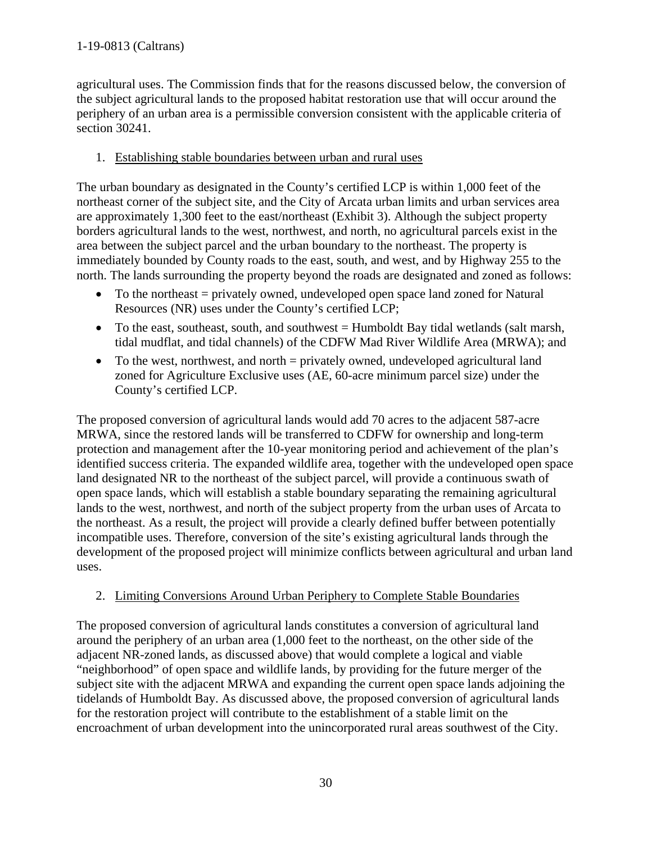agricultural uses. The Commission finds that for the reasons discussed below, the conversion of the subject agricultural lands to the proposed habitat restoration use that will occur around the periphery of an urban area is a permissible conversion consistent with the applicable criteria of section 30241.

### 1. Establishing stable boundaries between urban and rural uses

The urban boundary as designated in the County's certified LCP is within 1,000 feet of the northeast corner of the subject site, and the City of Arcata urban limits and urban services area are approximately 1,300 feet to the east/northeast (Exhibit 3). Although the subject property borders agricultural lands to the west, northwest, and north, no agricultural parcels exist in the area between the subject parcel and the urban boundary to the northeast. The property is immediately bounded by County roads to the east, south, and west, and by Highway 255 to the north. The lands surrounding the property beyond the roads are designated and zoned as follows:

- To the northeast  $=$  privately owned, undeveloped open space land zoned for Natural Resources (NR) uses under the County's certified LCP;
- To the east, southeast, south, and southwest = Humboldt Bay tidal wetlands (salt marsh, tidal mudflat, and tidal channels) of the CDFW Mad River Wildlife Area (MRWA); and
- To the west, northwest, and north = privately owned, undeveloped agricultural land zoned for Agriculture Exclusive uses (AE, 60-acre minimum parcel size) under the County's certified LCP.

The proposed conversion of agricultural lands would add 70 acres to the adjacent 587-acre MRWA, since the restored lands will be transferred to CDFW for ownership and long-term protection and management after the 10-year monitoring period and achievement of the plan's identified success criteria. The expanded wildlife area, together with the undeveloped open space land designated NR to the northeast of the subject parcel, will provide a continuous swath of open space lands, which will establish a stable boundary separating the remaining agricultural lands to the west, northwest, and north of the subject property from the urban uses of Arcata to the northeast. As a result, the project will provide a clearly defined buffer between potentially incompatible uses. Therefore, conversion of the site's existing agricultural lands through the development of the proposed project will minimize conflicts between agricultural and urban land uses.

#### 2. Limiting Conversions Around Urban Periphery to Complete Stable Boundaries

The proposed conversion of agricultural lands constitutes a conversion of agricultural land around the periphery of an urban area (1,000 feet to the northeast, on the other side of the adjacent NR-zoned lands, as discussed above) that would complete a logical and viable "neighborhood" of open space and wildlife lands, by providing for the future merger of the subject site with the adjacent MRWA and expanding the current open space lands adjoining the tidelands of Humboldt Bay. As discussed above, the proposed conversion of agricultural lands for the restoration project will contribute to the establishment of a stable limit on the encroachment of urban development into the unincorporated rural areas southwest of the City.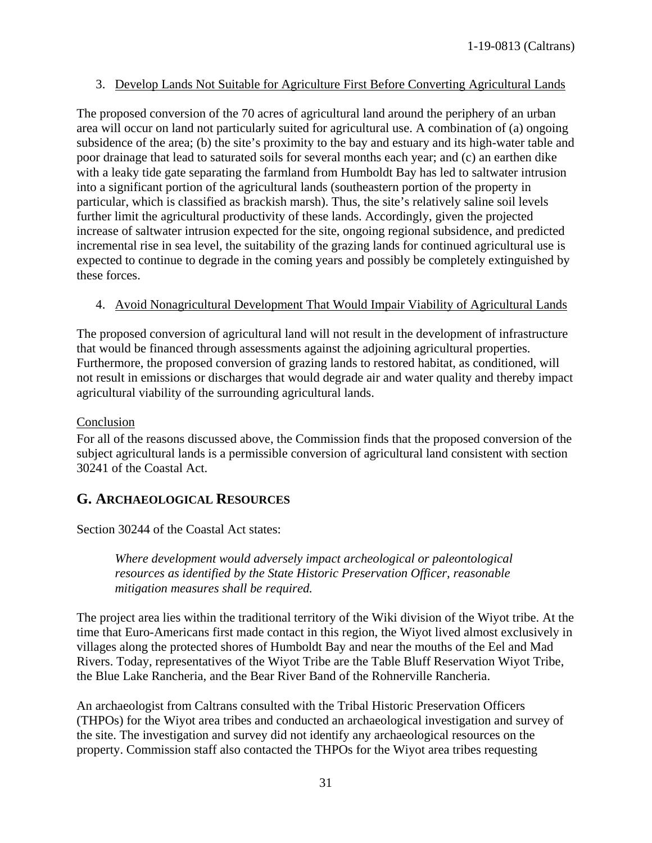#### 3. Develop Lands Not Suitable for Agriculture First Before Converting Agricultural Lands

The proposed conversion of the 70 acres of agricultural land around the periphery of an urban area will occur on land not particularly suited for agricultural use. A combination of (a) ongoing subsidence of the area; (b) the site's proximity to the bay and estuary and its high-water table and poor drainage that lead to saturated soils for several months each year; and (c) an earthen dike with a leaky tide gate separating the farmland from Humboldt Bay has led to saltwater intrusion into a significant portion of the agricultural lands (southeastern portion of the property in particular, which is classified as brackish marsh). Thus, the site's relatively saline soil levels further limit the agricultural productivity of these lands. Accordingly, given the projected increase of saltwater intrusion expected for the site, ongoing regional subsidence, and predicted incremental rise in sea level, the suitability of the grazing lands for continued agricultural use is expected to continue to degrade in the coming years and possibly be completely extinguished by these forces.

#### 4. Avoid Nonagricultural Development That Would Impair Viability of Agricultural Lands

The proposed conversion of agricultural land will not result in the development of infrastructure that would be financed through assessments against the adjoining agricultural properties. Furthermore, the proposed conversion of grazing lands to restored habitat, as conditioned, will not result in emissions or discharges that would degrade air and water quality and thereby impact agricultural viability of the surrounding agricultural lands.

#### Conclusion

For all of the reasons discussed above, the Commission finds that the proposed conversion of the subject agricultural lands is a permissible conversion of agricultural land consistent with section 30241 of the Coastal Act.

## <span id="page-30-0"></span>**G. ARCHAEOLOGICAL RESOURCES**

Section 30244 of the Coastal Act states:

*Where development would adversely impact archeological or paleontological resources as identified by the State Historic Preservation Officer, reasonable mitigation measures shall be required.* 

The project area lies within the traditional territory of the Wiki division of the Wiyot tribe. At the time that Euro-Americans first made contact in this region, the Wiyot lived almost exclusively in villages along the protected shores of Humboldt Bay and near the mouths of the Eel and Mad Rivers. Today, representatives of the Wiyot Tribe are the Table Bluff Reservation Wiyot Tribe, the Blue Lake Rancheria, and the Bear River Band of the Rohnerville Rancheria.

An archaeologist from Caltrans consulted with the Tribal Historic Preservation Officers (THPOs) for the Wiyot area tribes and conducted an archaeological investigation and survey of the site. The investigation and survey did not identify any archaeological resources on the property. Commission staff also contacted the THPOs for the Wiyot area tribes requesting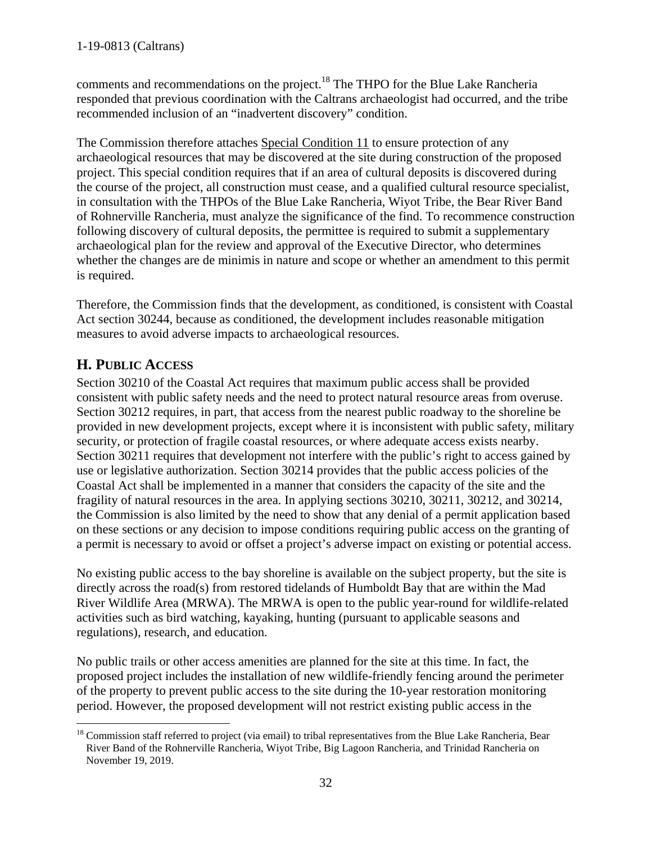comments and recommendations on the project.<sup>18</sup> The THPO for the Blue Lake Rancheria responded that previous coordination with the Caltrans archaeologist had occurred, and the tribe recommended inclusion of an "inadvertent discovery" condition.

The Commission therefore attaches Special Condition 11 to ensure protection of any archaeological resources that may be discovered at the site during construction of the proposed project. This special condition requires that if an area of cultural deposits is discovered during the course of the project, all construction must cease, and a qualified cultural resource specialist, in consultation with the THPOs of the Blue Lake Rancheria, Wiyot Tribe, the Bear River Band of Rohnerville Rancheria, must analyze the significance of the find. To recommence construction following discovery of cultural deposits, the permittee is required to submit a supplementary archaeological plan for the review and approval of the Executive Director, who determines whether the changes are de minimis in nature and scope or whether an amendment to this permit is required.

Therefore, the Commission finds that the development, as conditioned, is consistent with Coastal Act section 30244, because as conditioned, the development includes reasonable mitigation measures to avoid adverse impacts to archaeological resources.

# <span id="page-31-0"></span>**H. PUBLIC ACCESS**

Section 30210 of the Coastal Act requires that maximum public access shall be provided consistent with public safety needs and the need to protect natural resource areas from overuse. Section 30212 requires, in part, that access from the nearest public roadway to the shoreline be provided in new development projects, except where it is inconsistent with public safety, military security, or protection of fragile coastal resources, or where adequate access exists nearby. Section 30211 requires that development not interfere with the public's right to access gained by use or legislative authorization. Section 30214 provides that the public access policies of the Coastal Act shall be implemented in a manner that considers the capacity of the site and the fragility of natural resources in the area. In applying sections 30210, 30211, 30212, and 30214, the Commission is also limited by the need to show that any denial of a permit application based on these sections or any decision to impose conditions requiring public access on the granting of a permit is necessary to avoid or offset a project's adverse impact on existing or potential access.

No existing public access to the bay shoreline is available on the subject property, but the site is directly across the road(s) from restored tidelands of Humboldt Bay that are within the Mad River Wildlife Area (MRWA). The MRWA is open to the public year-round for wildlife-related activities such as bird watching, kayaking, hunting (pursuant to applicable seasons and regulations), research, and education.

No public trails or other access amenities are planned for the site at this time. In fact, the proposed project includes the installation of new wildlife-friendly fencing around the perimeter of the property to prevent public access to the site during the 10-year restoration monitoring period. However, the proposed development will not restrict existing public access in the

 $\overline{a}$ <sup>18</sup> Commission staff referred to project (via email) to tribal representatives from the Blue Lake Rancheria, Bear River Band of the Rohnerville Rancheria, Wiyot Tribe, Big Lagoon Rancheria, and Trinidad Rancheria on November 19, 2019.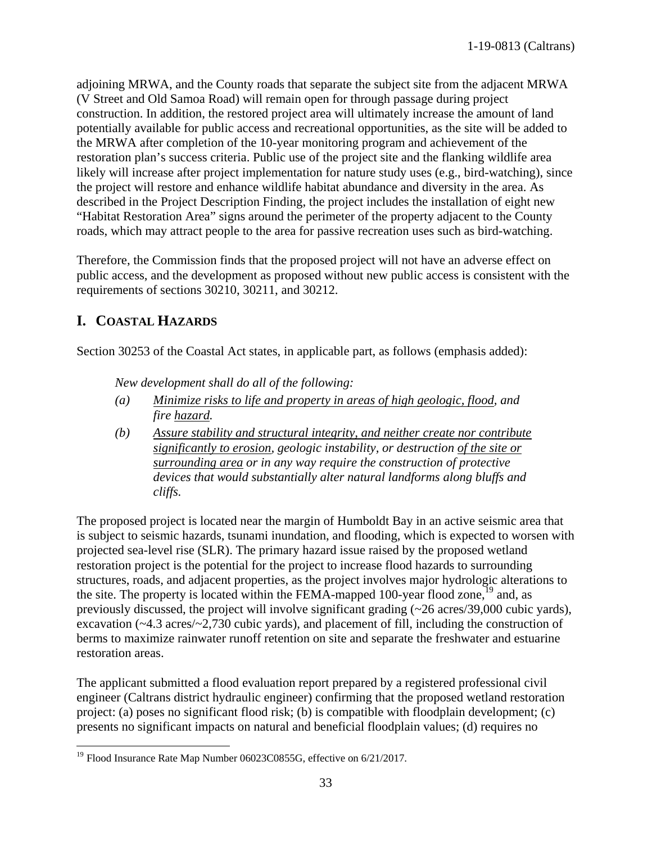adjoining MRWA, and the County roads that separate the subject site from the adjacent MRWA (V Street and Old Samoa Road) will remain open for through passage during project construction. In addition, the restored project area will ultimately increase the amount of land potentially available for public access and recreational opportunities, as the site will be added to the MRWA after completion of the 10-year monitoring program and achievement of the restoration plan's success criteria. Public use of the project site and the flanking wildlife area likely will increase after project implementation for nature study uses (e.g., bird-watching), since the project will restore and enhance wildlife habitat abundance and diversity in the area. As described in the Project Description Finding, the project includes the installation of eight new "Habitat Restoration Area" signs around the perimeter of the property adjacent to the County roads, which may attract people to the area for passive recreation uses such as bird-watching.

Therefore, the Commission finds that the proposed project will not have an adverse effect on public access, and the development as proposed without new public access is consistent with the requirements of sections 30210, 30211, and 30212.

# <span id="page-32-0"></span>**I. COASTAL HAZARDS**

Section 30253 of the Coastal Act states, in applicable part, as follows (emphasis added):

*New development shall do all of the following:* 

- *(a) Minimize risks to life and property in areas of high geologic, flood, and fire hazard.*
- *(b) Assure stability and structural integrity, and neither create nor contribute significantly to erosion, geologic instability, or destruction of the site or surrounding area or in any way require the construction of protective devices that would substantially alter natural landforms along bluffs and cliffs.*

The proposed project is located near the margin of Humboldt Bay in an active seismic area that is subject to seismic hazards, tsunami inundation, and flooding, which is expected to worsen with projected sea-level rise (SLR). The primary hazard issue raised by the proposed wetland restoration project is the potential for the project to increase flood hazards to surrounding structures, roads, and adjacent properties, as the project involves major hydrologic alterations to the site. The property is located within the FEMA-mapped 100-year flood zone,  $^{19}$  and, as previously discussed, the project will involve significant grading (~26 acres/39,000 cubic yards), excavation (~4.3 acres/~2,730 cubic yards), and placement of fill, including the construction of berms to maximize rainwater runoff retention on site and separate the freshwater and estuarine restoration areas.

The applicant submitted a flood evaluation report prepared by a registered professional civil engineer (Caltrans district hydraulic engineer) confirming that the proposed wetland restoration project: (a) poses no significant flood risk; (b) is compatible with floodplain development; (c) presents no significant impacts on natural and beneficial floodplain values; (d) requires no

 $\overline{a}$ <sup>19</sup> Flood Insurance Rate Map Number 06023C0855G, effective on 6/21/2017.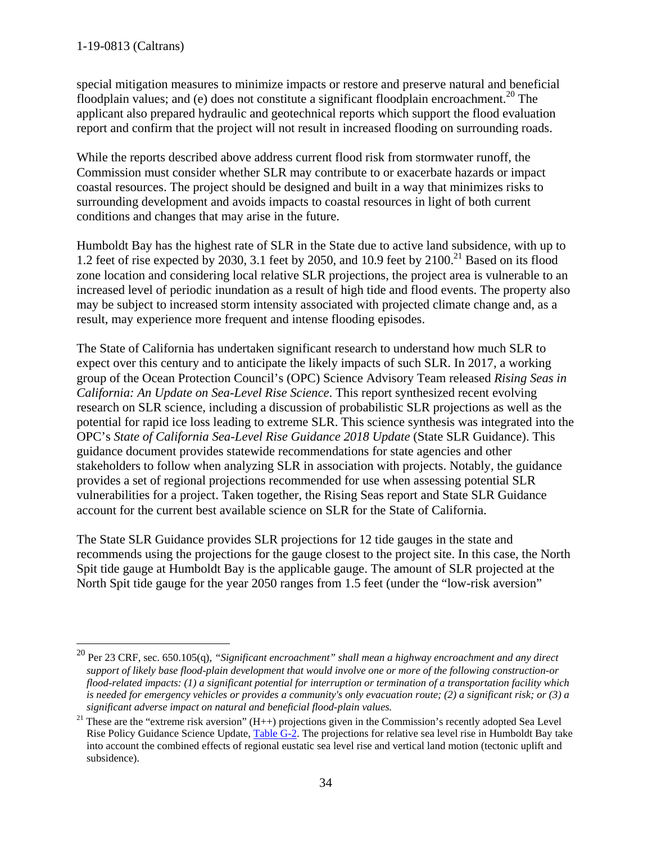$\overline{a}$ 

special mitigation measures to minimize impacts or restore and preserve natural and beneficial floodplain values; and (e) does not constitute a significant floodplain encroachment.<sup>20</sup> The applicant also prepared hydraulic and geotechnical reports which support the flood evaluation report and confirm that the project will not result in increased flooding on surrounding roads.

While the reports described above address current flood risk from stormwater runoff, the Commission must consider whether SLR may contribute to or exacerbate hazards or impact coastal resources. The project should be designed and built in a way that minimizes risks to surrounding development and avoids impacts to coastal resources in light of both current conditions and changes that may arise in the future.

Humboldt Bay has the highest rate of SLR in the State due to active land subsidence, with up to 1.2 feet of rise expected by 2030, 3.1 feet by 2050, and 10.9 feet by  $2100$ .<sup>21</sup> Based on its flood zone location and considering local relative SLR projections, the project area is vulnerable to an increased level of periodic inundation as a result of high tide and flood events. The property also may be subject to increased storm intensity associated with projected climate change and, as a result, may experience more frequent and intense flooding episodes.

The State of California has undertaken significant research to understand how much SLR to expect over this century and to anticipate the likely impacts of such SLR. In 2017, a working group of the Ocean Protection Council's (OPC) Science Advisory Team released *Rising Seas in California: An Update on Sea-Level Rise Science*. This report synthesized recent evolving research on SLR science, including a discussion of probabilistic SLR projections as well as the potential for rapid ice loss leading to extreme SLR. This science synthesis was integrated into the OPC's *State of California Sea-Level Rise Guidance 2018 Update* (State SLR Guidance). This guidance document provides statewide recommendations for state agencies and other stakeholders to follow when analyzing SLR in association with projects. Notably, the guidance provides a set of regional projections recommended for use when assessing potential SLR vulnerabilities for a project. Taken together, the Rising Seas report and State SLR Guidance account for the current best available science on SLR for the State of California.

The State SLR Guidance provides SLR projections for 12 tide gauges in the state and recommends using the projections for the gauge closest to the project site. In this case, the North Spit tide gauge at Humboldt Bay is the applicable gauge. The amount of SLR projected at the North Spit tide gauge for the year 2050 ranges from 1.5 feet (under the "low-risk aversion"

<sup>20</sup> Per 23 CRF, sec. 650.105(q), *"Significant encroachment" shall mean a highway encroachment and any direct support of likely base flood-plain development that would involve one or more of the following construction-or flood-related impacts: (1) a significant potential for interruption or termination of a transportation facility which is needed for emergency vehicles or provides a community's only evacuation route; (2) a significant risk; or (3) a significant adverse impact on natural and beneficial flood-plain values.*

<sup>&</sup>lt;sup>21</sup> These are the "extreme risk aversion" (H++) projections given in the Commission's recently adopted Sea Level Rise Policy Guidance Science Update, [Table G-2.](https://documents.coastal.ca.gov/reports/2018/11/W7d/w7d-11-2018-exhibits.pdf) The projections for relative sea level rise in Humboldt Bay take into account the combined effects of regional eustatic sea level rise and vertical land motion (tectonic uplift and subsidence).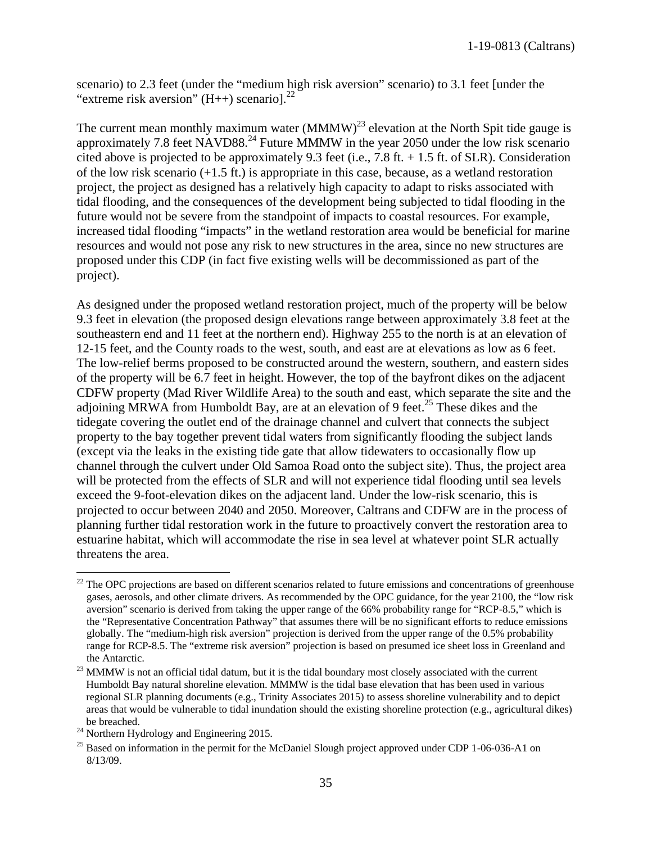scenario) to 2.3 feet (under the "medium high risk aversion" scenario) to 3.1 feet [under the "extreme risk aversion"  $(H_{++})$  scenariol.<sup>22</sup>

The current mean monthly maximum water  $(MMMW)^{23}$  elevation at the North Spit tide gauge is approximately 7.8 feet  $NAVD88.<sup>24</sup>$  Future MMMW in the year 2050 under the low risk scenario cited above is projected to be approximately 9.3 feet (i.e., 7.8 ft. + 1.5 ft. of SLR). Consideration of the low risk scenario (+1.5 ft.) is appropriate in this case, because, as a wetland restoration project, the project as designed has a relatively high capacity to adapt to risks associated with tidal flooding, and the consequences of the development being subjected to tidal flooding in the future would not be severe from the standpoint of impacts to coastal resources. For example, increased tidal flooding "impacts" in the wetland restoration area would be beneficial for marine resources and would not pose any risk to new structures in the area, since no new structures are proposed under this CDP (in fact five existing wells will be decommissioned as part of the project).

As designed under the proposed wetland restoration project, much of the property will be below 9.3 feet in elevation (the proposed design elevations range between approximately 3.8 feet at the southeastern end and 11 feet at the northern end). Highway 255 to the north is at an elevation of 12-15 feet, and the County roads to the west, south, and east are at elevations as low as 6 feet. The low-relief berms proposed to be constructed around the western, southern, and eastern sides of the property will be 6.7 feet in height. However, the top of the bayfront dikes on the adjacent CDFW property (Mad River Wildlife Area) to the south and east, which separate the site and the adjoining MRWA from Humboldt Bay, are at an elevation of 9 feet.<sup>25</sup> These dikes and the tidegate covering the outlet end of the drainage channel and culvert that connects the subject property to the bay together prevent tidal waters from significantly flooding the subject lands (except via the leaks in the existing tide gate that allow tidewaters to occasionally flow up channel through the culvert under Old Samoa Road onto the subject site). Thus, the project area will be protected from the effects of SLR and will not experience tidal flooding until sea levels exceed the 9-foot-elevation dikes on the adjacent land. Under the low-risk scenario, this is projected to occur between 2040 and 2050. Moreover, Caltrans and CDFW are in the process of planning further tidal restoration work in the future to proactively convert the restoration area to estuarine habitat, which will accommodate the rise in sea level at whatever point SLR actually threatens the area.

 $\overline{a}$ 

 $22$  The OPC projections are based on different scenarios related to future emissions and concentrations of greenhouse gases, aerosols, and other climate drivers. As recommended by the OPC guidance, for the year 2100, the "low risk aversion" scenario is derived from taking the upper range of the 66% probability range for "RCP-8.5," which is the "Representative Concentration Pathway" that assumes there will be no significant efforts to reduce emissions globally. The "medium-high risk aversion" projection is derived from the upper range of the 0.5% probability range for RCP-8.5. The "extreme risk aversion" projection is based on presumed ice sheet loss in Greenland and the Antarctic.

<sup>&</sup>lt;sup>23</sup> MMMW is not an official tidal datum, but it is the tidal boundary most closely associated with the current Humboldt Bay natural shoreline elevation. MMMW is the tidal base elevation that has been used in various regional SLR planning documents (e.g., Trinity Associates 2015) to assess shoreline vulnerability and to depict areas that would be vulnerable to tidal inundation should the existing shoreline protection (e.g., agricultural dikes)

<sup>&</sup>lt;sup>24</sup> Northern Hydrology and Engineering 2015.<br><sup>25</sup> Based on information in the permit for the McDaniel Slough project approved under CDP 1-06-036-A1 on 8/13/09.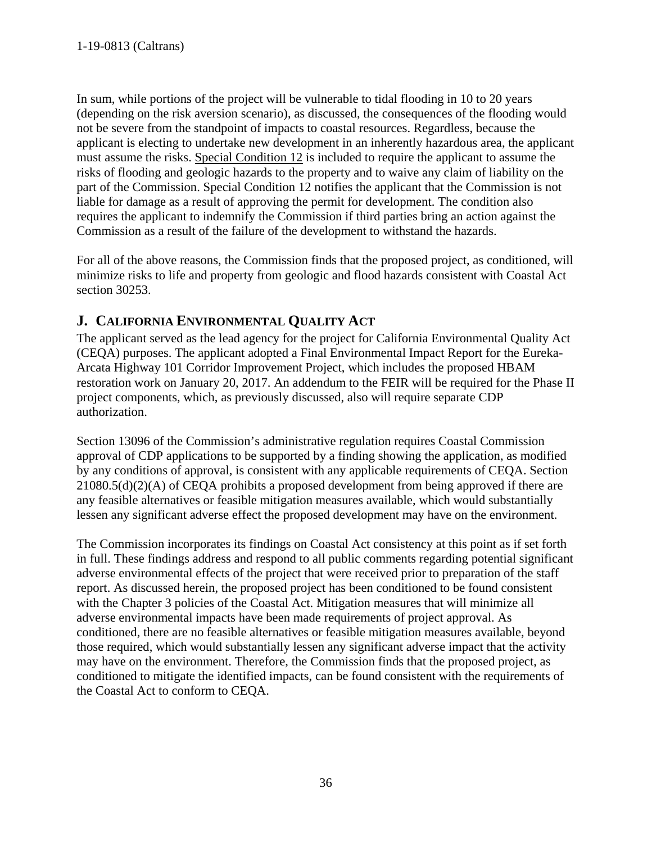In sum, while portions of the project will be vulnerable to tidal flooding in 10 to 20 years (depending on the risk aversion scenario), as discussed, the consequences of the flooding would not be severe from the standpoint of impacts to coastal resources. Regardless, because the applicant is electing to undertake new development in an inherently hazardous area, the applicant must assume the risks. Special Condition 12 is included to require the applicant to assume the risks of flooding and geologic hazards to the property and to waive any claim of liability on the part of the Commission. Special Condition 12 notifies the applicant that the Commission is not liable for damage as a result of approving the permit for development. The condition also requires the applicant to indemnify the Commission if third parties bring an action against the Commission as a result of the failure of the development to withstand the hazards.

For all of the above reasons, the Commission finds that the proposed project, as conditioned, will minimize risks to life and property from geologic and flood hazards consistent with Coastal Act section 30253.

# <span id="page-35-0"></span>**J. CALIFORNIA ENVIRONMENTAL QUALITY ACT**

The applicant served as the lead agency for the project for California Environmental Quality Act (CEQA) purposes. The applicant adopted a Final Environmental Impact Report for the Eureka-Arcata Highway 101 Corridor Improvement Project, which includes the proposed HBAM restoration work on January 20, 2017. An addendum to the FEIR will be required for the Phase II project components, which, as previously discussed, also will require separate CDP authorization.

Section 13096 of the Commission's administrative regulation requires Coastal Commission approval of CDP applications to be supported by a finding showing the application, as modified by any conditions of approval, is consistent with any applicable requirements of CEQA. Section 21080.5(d)(2)(A) of CEQA prohibits a proposed development from being approved if there are any feasible alternatives or feasible mitigation measures available, which would substantially lessen any significant adverse effect the proposed development may have on the environment.

The Commission incorporates its findings on Coastal Act consistency at this point as if set forth in full. These findings address and respond to all public comments regarding potential significant adverse environmental effects of the project that were received prior to preparation of the staff report. As discussed herein, the proposed project has been conditioned to be found consistent with the Chapter 3 policies of the Coastal Act. Mitigation measures that will minimize all adverse environmental impacts have been made requirements of project approval. As conditioned, there are no feasible alternatives or feasible mitigation measures available, beyond those required, which would substantially lessen any significant adverse impact that the activity may have on the environment. Therefore, the Commission finds that the proposed project, as conditioned to mitigate the identified impacts, can be found consistent with the requirements of the Coastal Act to conform to CEQA.